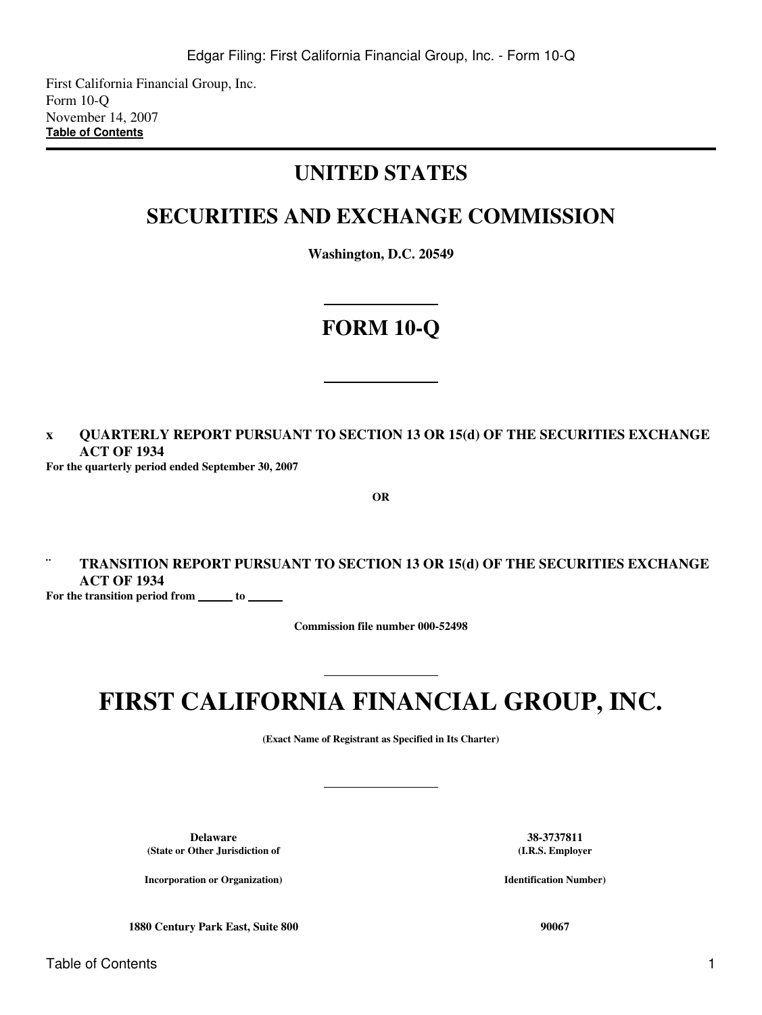First California Financial Group, Inc. Form 10-Q November 14, 2007 **[Table of Contents](#page-2-0)**

# **UNITED STATES**

# **SECURITIES AND EXCHANGE COMMISSION**

**Washington, D.C. 20549**

# **FORM 10-Q**

**x QUARTERLY REPORT PURSUANT TO SECTION 13 OR 15(d) OF THE SECURITIES EXCHANGE ACT OF 1934**

**For the quarterly period ended September 30, 2007**

**OR**

# **¨ TRANSITION REPORT PURSUANT TO SECTION 13 OR 15(d) OF THE SECURITIES EXCHANGE ACT OF 1934**

For the transition period from \_\_\_\_\_\_\_ to \_\_\_\_\_

**Commission file number 000-52498**

# **FIRST CALIFORNIA FINANCIAL GROUP, INC.**

**(Exact Name of Registrant as Specified in Its Charter)**

**Delaware 38-3737811 (State or Other Jurisdiction of**

**Incorporation or Organization)**

**(I.R.S. Employer**

**Identification Number)**

**1880 Century Park East, Suite 800 90067**

Table of Contents 1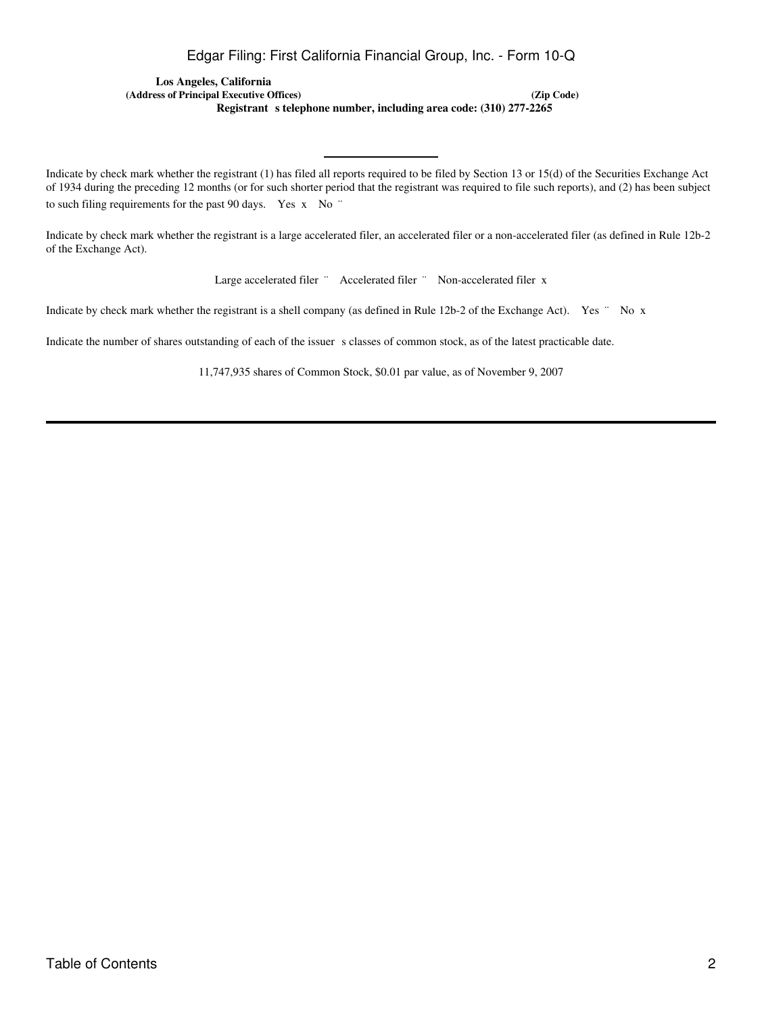# Edgar Filing: First California Financial Group, Inc. - Form 10-Q

**Los Angeles, California (Address of Principal Executive Offices) (Zip Code)** Registrant s telephone number, including area code: (310) 277-2265

Indicate by check mark whether the registrant (1) has filed all reports required to be filed by Section 13 or 15(d) of the Securities Exchange Act of 1934 during the preceding 12 months (or for such shorter period that the registrant was required to file such reports), and (2) has been subject to such filing requirements for the past 90 days. Yes x No "

Indicate by check mark whether the registrant is a large accelerated filer, an accelerated filer or a non-accelerated filer (as defined in Rule 12b-2 of the Exchange Act).

Large accelerated filer " Accelerated filer " Non-accelerated filer x

Indicate by check mark whether the registrant is a shell company (as defined in Rule 12b-2 of the Exchange Act). Yes " No x

Indicate the number of shares outstanding of each of the issuer s classes of common stock, as of the latest practicable date.

11,747,935 shares of Common Stock, \$0.01 par value, as of November 9, 2007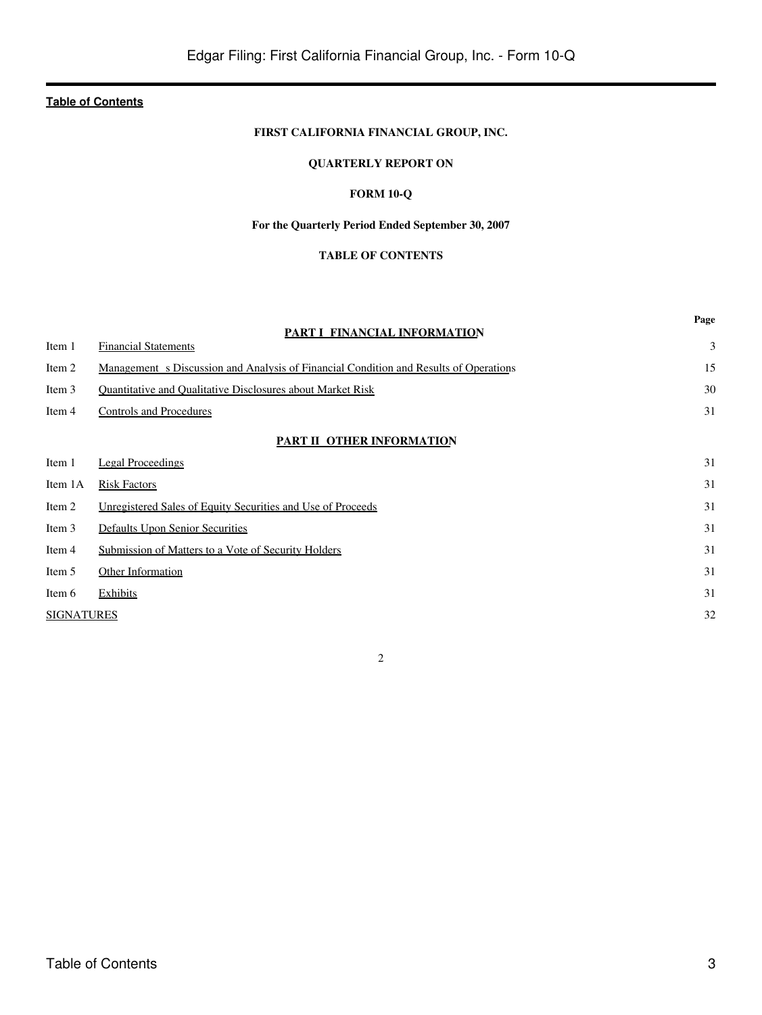# **FIRST CALIFORNIA FINANCIAL GROUP, INC.**

# **QUARTERLY REPORT ON**

# **FORM 10-Q**

# **For the Quarterly Period Ended September 30, 2007**

# **TABLE OF CONTENTS**

<span id="page-2-0"></span>

|                   | PART I FINANCIAL INFORMATION                                                          | Page |
|-------------------|---------------------------------------------------------------------------------------|------|
| Item 1            | <b>Financial Statements</b>                                                           | 3    |
| Item 2            | Management s Discussion and Analysis of Financial Condition and Results of Operations | 15   |
| Item 3            | Quantitative and Qualitative Disclosures about Market Risk                            | 30   |
| Item 4            | <b>Controls and Procedures</b>                                                        | 31   |
|                   | PART II OTHER INFORMATION                                                             |      |
| Item 1            | <b>Legal Proceedings</b>                                                              | 31   |
| Item 1A           | <b>Risk Factors</b>                                                                   | 31   |
| Item 2            | Unregistered Sales of Equity Securities and Use of Proceeds                           | 31   |
| Item 3            | Defaults Upon Senior Securities                                                       | 31   |
| Item 4            | Submission of Matters to a Vote of Security Holders                                   | 31   |
| Item 5            | Other Information                                                                     | 31   |
| Item 6            | Exhibits                                                                              | 31   |
| <b>SIGNATURES</b> |                                                                                       | 32   |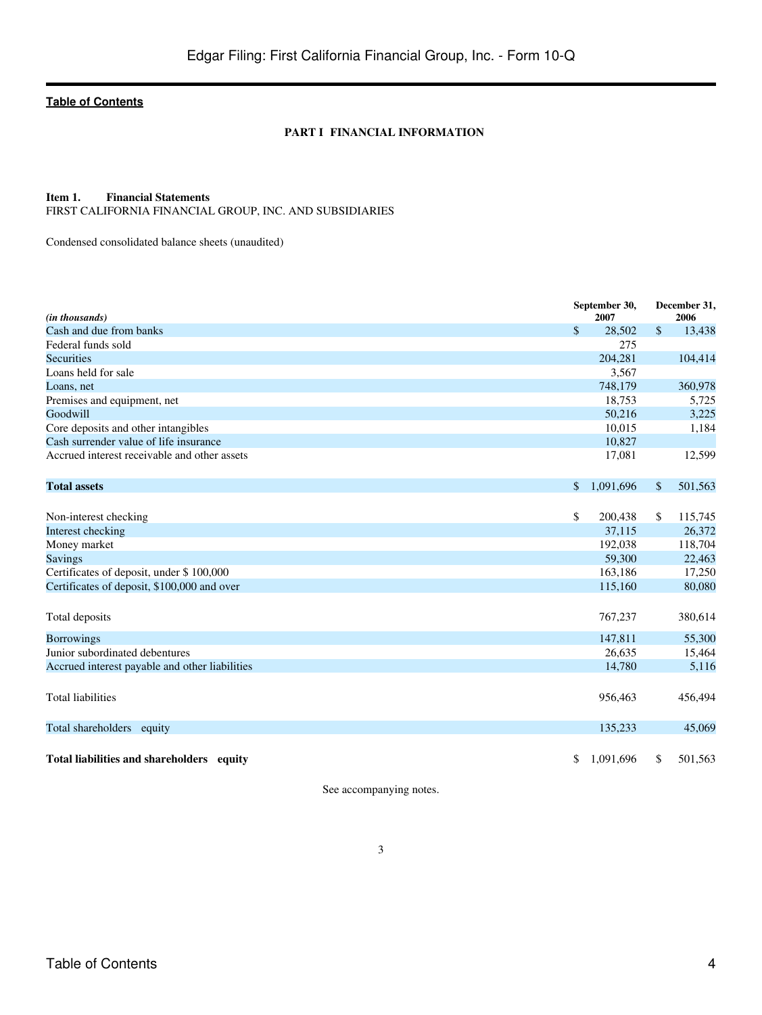### **PART I FINANCIAL INFORMATION**

# <span id="page-3-1"></span><span id="page-3-0"></span>**Item 1. Financial Statements**

FIRST CALIFORNIA FINANCIAL GROUP, INC. AND SUBSIDIARIES

Condensed consolidated balance sheets (unaudited)

| (in thousands)                                 | September 30,<br>2007 | December 31,<br>2006 |         |
|------------------------------------------------|-----------------------|----------------------|---------|
| Cash and due from banks                        | \$<br>28.502          | $\mathbb{S}$         | 13,438  |
| Federal funds sold                             | 275                   |                      |         |
| <b>Securities</b>                              | 204,281               |                      | 104,414 |
| Loans held for sale                            | 3,567                 |                      |         |
| Loans, net                                     | 748,179               |                      | 360,978 |
| Premises and equipment, net                    | 18,753                |                      | 5,725   |
| Goodwill                                       | 50,216                |                      | 3,225   |
| Core deposits and other intangibles            | 10,015                |                      | 1,184   |
| Cash surrender value of life insurance         | 10,827                |                      |         |
| Accrued interest receivable and other assets   | 17,081                |                      | 12,599  |
| <b>Total assets</b>                            | \$<br>1,091,696       | $\sqrt{\ }$          | 501,563 |
|                                                |                       |                      |         |
| Non-interest checking                          | \$<br>200,438         | \$                   | 115,745 |
| Interest checking                              | 37,115                |                      | 26,372  |
| Money market                                   | 192,038               |                      | 118,704 |
| <b>Savings</b>                                 | 59,300                |                      | 22,463  |
| Certificates of deposit, under \$100,000       | 163,186               |                      | 17,250  |
| Certificates of deposit, \$100,000 and over    | 115,160               |                      | 80,080  |
| Total deposits                                 | 767,237               |                      | 380,614 |
| <b>Borrowings</b>                              | 147,811               |                      | 55,300  |
| Junior subordinated debentures                 | 26,635                |                      | 15,464  |
| Accrued interest payable and other liabilities | 14,780                |                      | 5,116   |
| <b>Total liabilities</b>                       | 956,463               |                      | 456,494 |
| Total shareholders equity                      | 135,233               |                      | 45,069  |
| Total liabilities and shareholders equity      | \$<br>1,091,696       | \$                   | 501,563 |

See accompanying notes.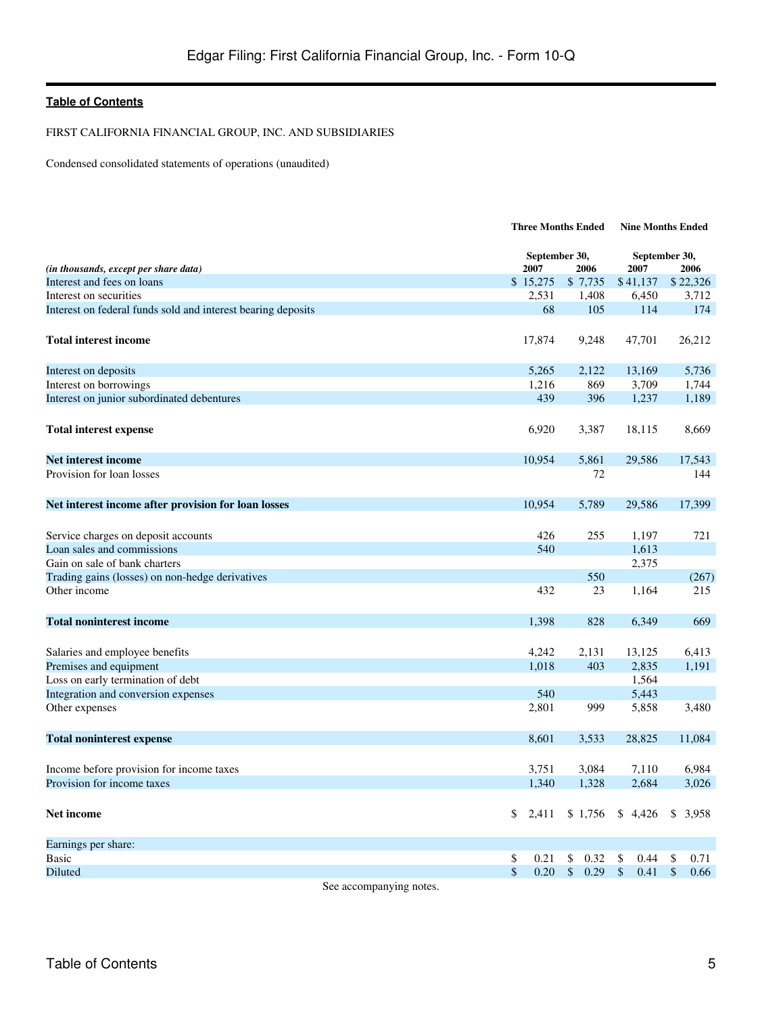FIRST CALIFORNIA FINANCIAL GROUP, INC. AND SUBSIDIARIES

Condensed consolidated statements of operations (unaudited)

|                                                              |        | <b>Three Months Ended</b> |                       | <b>Nine Months Ended</b> |                       |  |
|--------------------------------------------------------------|--------|---------------------------|-----------------------|--------------------------|-----------------------|--|
| (in thousands, except per share data)                        |        | 2007                      | September 30,<br>2006 | 2007                     | September 30,<br>2006 |  |
| Interest and fees on loans                                   |        | \$15,275                  | \$7,735               | \$41,137                 | \$22,326              |  |
| Interest on securities                                       |        | 2,531                     | 1,408                 | 6,450                    | 3,712                 |  |
| Interest on federal funds sold and interest bearing deposits |        |                           | 68<br>105             | 114                      | 174                   |  |
| <b>Total interest income</b>                                 |        | 17,874                    | 9,248                 | 47,701                   | 26,212                |  |
| Interest on deposits                                         |        | 5,265                     | 2,122                 | 13,169                   | 5,736                 |  |
| Interest on borrowings                                       |        | 1,216                     | 869                   | 3,709                    | 1,744                 |  |
| Interest on junior subordinated debentures                   |        | 439                       | 396                   | 1,237                    | 1,189                 |  |
| <b>Total interest expense</b>                                |        | 6,920                     | 3,387                 | 18,115                   | 8,669                 |  |
| Net interest income                                          |        | 10,954                    | 5,861                 | 29,586                   | 17,543                |  |
| Provision for loan losses                                    |        |                           | 72                    |                          | 144                   |  |
| Net interest income after provision for loan losses          |        | 10,954                    | 5,789                 | 29,586                   | 17,399                |  |
| Service charges on deposit accounts                          |        | 426                       | 255                   | 1,197                    | 721                   |  |
| Loan sales and commissions                                   |        | 540                       |                       | 1,613                    |                       |  |
| Gain on sale of bank charters                                |        |                           |                       | 2,375                    |                       |  |
| Trading gains (losses) on non-hedge derivatives              |        |                           | 550                   |                          | (267)                 |  |
| Other income                                                 |        | 432                       | 23                    | 1,164                    | 215                   |  |
| <b>Total noninterest income</b>                              |        | 1,398                     | 828                   | 6,349                    | 669                   |  |
| Salaries and employee benefits                               |        | 4,242                     | 2,131                 | 13,125                   | 6,413                 |  |
| Premises and equipment                                       |        | 1,018                     | 403                   | 2,835                    | 1,191                 |  |
| Loss on early termination of debt                            |        |                           |                       | 1,564                    |                       |  |
| Integration and conversion expenses                          |        | 540                       |                       | 5,443                    |                       |  |
| Other expenses                                               |        | 2,801                     | 999                   | 5,858                    | 3,480                 |  |
| <b>Total noninterest expense</b>                             |        | 8,601                     | 3,533                 | 28,825                   | 11,084                |  |
|                                                              |        |                           |                       |                          |                       |  |
| Income before provision for income taxes                     |        | 3,751                     | 3,084                 | 7,110                    | 6.984                 |  |
| Provision for income taxes                                   |        | 1,340                     | 1,328                 | 2,684                    | 3,026                 |  |
| <b>Net income</b>                                            |        | \$<br>2,411               | \$1,756               | \$4,426                  | $\mathbb{S}$<br>3.958 |  |
| Earnings per share:                                          |        |                           |                       |                          |                       |  |
| <b>Basic</b>                                                 |        | \$<br>0.21                | \$<br>0.32            | \$<br>0.44               | 0.71<br>\$            |  |
| Diluted                                                      |        | $\mathbb{S}$<br>0.20      | \$<br>0.29            | \$<br>0.41               | $\frac{1}{2}$<br>0.66 |  |
|                                                              | $\sim$ |                           |                       |                          |                       |  |

See accompanying notes.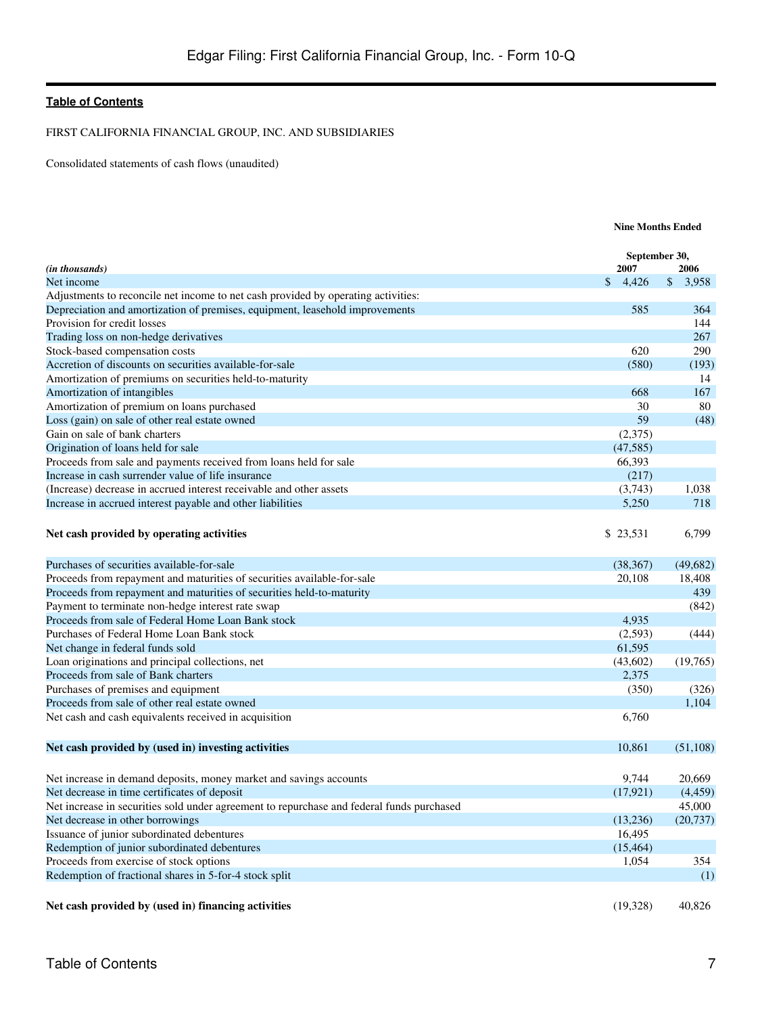FIRST CALIFORNIA FINANCIAL GROUP, INC. AND SUBSIDIARIES

Consolidated statements of cash flows (unaudited)

|                                                                                           | <b>Nine Months Ended</b> |                       |              |           |
|-------------------------------------------------------------------------------------------|--------------------------|-----------------------|--------------|-----------|
| (in thousands)                                                                            |                          | September 30,<br>2007 |              | 2006      |
| Net income                                                                                | $\mathbb{S}$             | 4,426                 | $\mathbb{S}$ | 3,958     |
| Adjustments to reconcile net income to net cash provided by operating activities:         |                          |                       |              |           |
| Depreciation and amortization of premises, equipment, leasehold improvements              |                          | 585                   |              | 364       |
| Provision for credit losses                                                               |                          |                       |              | 144       |
| Trading loss on non-hedge derivatives                                                     |                          |                       |              | 267       |
| Stock-based compensation costs                                                            |                          | 620                   |              | 290       |
| Accretion of discounts on securities available-for-sale                                   |                          | (580)                 |              | (193)     |
| Amortization of premiums on securities held-to-maturity                                   |                          |                       |              | 14        |
| Amortization of intangibles                                                               |                          | 668                   |              | 167       |
| Amortization of premium on loans purchased                                                |                          | 30                    |              | 80        |
| Loss (gain) on sale of other real estate owned                                            |                          | 59                    |              | (48)      |
| Gain on sale of bank charters                                                             |                          | (2,375)               |              |           |
| Origination of loans held for sale                                                        |                          | (47, 585)             |              |           |
| Proceeds from sale and payments received from loans held for sale                         |                          | 66,393                |              |           |
| Increase in cash surrender value of life insurance                                        |                          | (217)                 |              |           |
| (Increase) decrease in accrued interest receivable and other assets                       |                          | (3,743)               |              | 1,038     |
| Increase in accrued interest payable and other liabilities                                |                          | 5,250                 |              | 718       |
|                                                                                           |                          |                       |              |           |
| Net cash provided by operating activities                                                 |                          | \$23,531              |              | 6,799     |
| Purchases of securities available-for-sale                                                |                          | (38, 367)             |              | (49,682)  |
| Proceeds from repayment and maturities of securities available-for-sale                   |                          | 20,108                |              | 18,408    |
| Proceeds from repayment and maturities of securities held-to-maturity                     |                          |                       |              | 439       |
| Payment to terminate non-hedge interest rate swap                                         |                          |                       |              | (842)     |
| Proceeds from sale of Federal Home Loan Bank stock                                        |                          | 4,935                 |              |           |
| Purchases of Federal Home Loan Bank stock                                                 |                          | (2,593)               |              | (444)     |
| Net change in federal funds sold                                                          |                          | 61,595                |              |           |
| Loan originations and principal collections, net                                          |                          | (43,602)              |              | (19,765)  |
| Proceeds from sale of Bank charters                                                       |                          | 2,375                 |              |           |
| Purchases of premises and equipment                                                       |                          | (350)                 |              | (326)     |
| Proceeds from sale of other real estate owned                                             |                          |                       |              | 1,104     |
| Net cash and cash equivalents received in acquisition                                     |                          | 6,760                 |              |           |
|                                                                                           |                          |                       |              |           |
|                                                                                           |                          |                       |              |           |
| Net cash provided by (used in) investing activities                                       |                          | 10,861                |              | (51,108)  |
|                                                                                           |                          |                       |              |           |
| Net increase in demand deposits, money market and savings accounts                        |                          | 9,744                 |              | 20,669    |
| Net decrease in time certificates of deposit                                              |                          | (17, 921)             |              | (4, 459)  |
| Net increase in securities sold under agreement to repurchase and federal funds purchased |                          |                       |              | 45,000    |
| Net decrease in other borrowings                                                          |                          | (13,236)              |              | (20, 737) |
| Issuance of junior subordinated debentures                                                |                          | 16,495                |              |           |
| Redemption of junior subordinated debentures                                              |                          | (15, 464)             |              |           |
| Proceeds from exercise of stock options                                                   |                          | 1,054                 |              | 354       |
| Redemption of fractional shares in 5-for-4 stock split                                    |                          |                       |              | (1)       |
|                                                                                           |                          |                       |              |           |
| Net cash provided by (used in) financing activities                                       |                          | (19,328)              |              | 40,826    |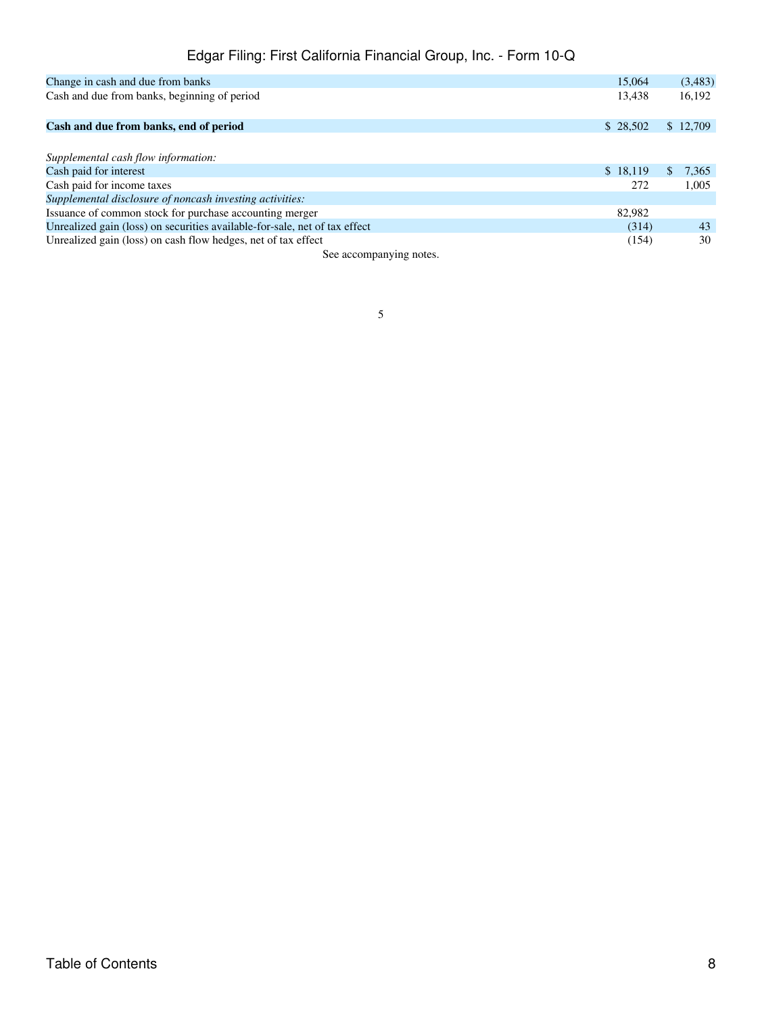# Edgar Filing: First California Financial Group, Inc. - Form 10-Q

| Change in cash and due from banks                                          | 15,064   | (3,483)      |
|----------------------------------------------------------------------------|----------|--------------|
| Cash and due from banks, beginning of period                               | 13,438   | 16,192       |
|                                                                            |          |              |
| Cash and due from banks, end of period                                     | \$28,502 | \$12,709     |
|                                                                            |          |              |
| Supplemental cash flow information:                                        |          |              |
| Cash paid for interest                                                     | \$18,119 | \$.<br>7,365 |
| Cash paid for income taxes                                                 | 272      | 1,005        |
| Supplemental disclosure of noncash investing activities:                   |          |              |
| Issuance of common stock for purchase accounting merger                    | 82,982   |              |
| Unrealized gain (loss) on securities available-for-sale, net of tax effect | (314)    | 43           |
| Unrealized gain (loss) on cash flow hedges, net of tax effect              | (154)    | 30           |

See accompanying notes.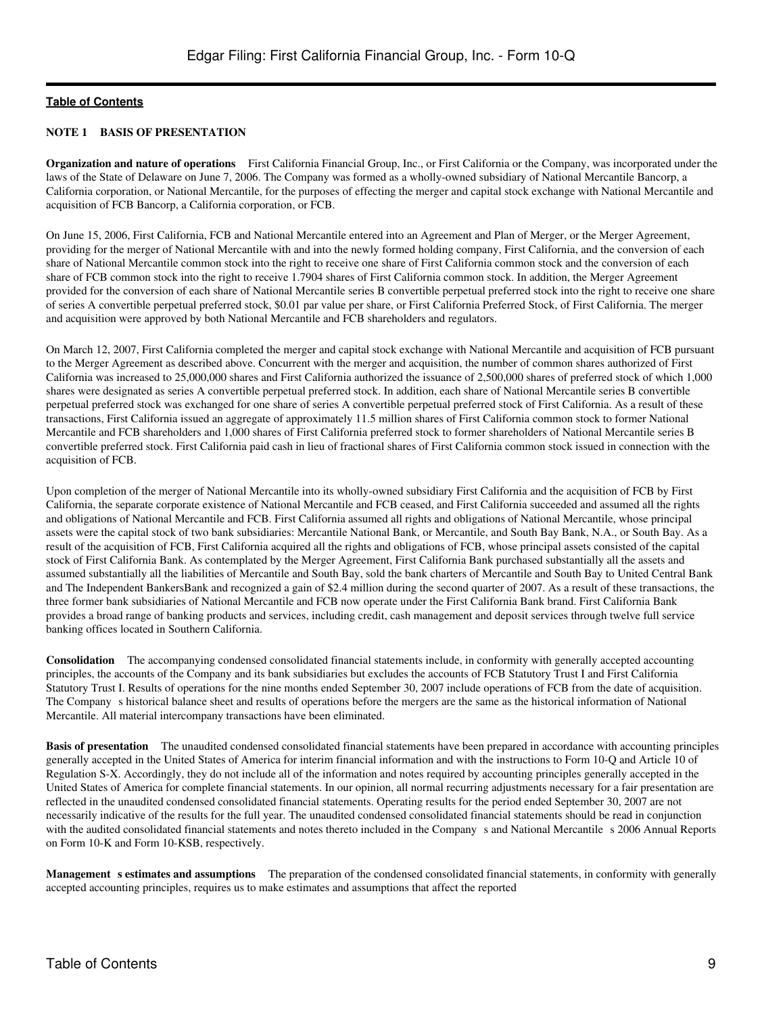# **NOTE 1 BASIS OF PRESENTATION**

**Organization and nature of operations**  First California Financial Group, Inc., or First California or the Company, was incorporated under the laws of the State of Delaware on June 7, 2006. The Company was formed as a wholly-owned subsidiary of National Mercantile Bancorp, a California corporation, or National Mercantile, for the purposes of effecting the merger and capital stock exchange with National Mercantile and acquisition of FCB Bancorp, a California corporation, or FCB.

On June 15, 2006, First California, FCB and National Mercantile entered into an Agreement and Plan of Merger, or the Merger Agreement, providing for the merger of National Mercantile with and into the newly formed holding company, First California, and the conversion of each share of National Mercantile common stock into the right to receive one share of First California common stock and the conversion of each share of FCB common stock into the right to receive 1.7904 shares of First California common stock. In addition, the Merger Agreement provided for the conversion of each share of National Mercantile series B convertible perpetual preferred stock into the right to receive one share of series A convertible perpetual preferred stock, \$0.01 par value per share, or First California Preferred Stock, of First California. The merger and acquisition were approved by both National Mercantile and FCB shareholders and regulators.

On March 12, 2007, First California completed the merger and capital stock exchange with National Mercantile and acquisition of FCB pursuant to the Merger Agreement as described above. Concurrent with the merger and acquisition, the number of common shares authorized of First California was increased to 25,000,000 shares and First California authorized the issuance of 2,500,000 shares of preferred stock of which 1,000 shares were designated as series A convertible perpetual preferred stock. In addition, each share of National Mercantile series B convertible perpetual preferred stock was exchanged for one share of series A convertible perpetual preferred stock of First California. As a result of these transactions, First California issued an aggregate of approximately 11.5 million shares of First California common stock to former National Mercantile and FCB shareholders and 1,000 shares of First California preferred stock to former shareholders of National Mercantile series B convertible preferred stock. First California paid cash in lieu of fractional shares of First California common stock issued in connection with the acquisition of FCB.

Upon completion of the merger of National Mercantile into its wholly-owned subsidiary First California and the acquisition of FCB by First California, the separate corporate existence of National Mercantile and FCB ceased, and First California succeeded and assumed all the rights and obligations of National Mercantile and FCB. First California assumed all rights and obligations of National Mercantile, whose principal assets were the capital stock of two bank subsidiaries: Mercantile National Bank, or Mercantile, and South Bay Bank, N.A., or South Bay. As a result of the acquisition of FCB, First California acquired all the rights and obligations of FCB, whose principal assets consisted of the capital stock of First California Bank. As contemplated by the Merger Agreement, First California Bank purchased substantially all the assets and assumed substantially all the liabilities of Mercantile and South Bay, sold the bank charters of Mercantile and South Bay to United Central Bank and The Independent BankersBank and recognized a gain of \$2.4 million during the second quarter of 2007. As a result of these transactions, the three former bank subsidiaries of National Mercantile and FCB now operate under the First California Bank brand. First California Bank provides a broad range of banking products and services, including credit, cash management and deposit services through twelve full service banking offices located in Southern California.

**Consolidation** The accompanying condensed consolidated financial statements include, in conformity with generally accepted accounting principles, the accounts of the Company and its bank subsidiaries but excludes the accounts of FCB Statutory Trust I and First California Statutory Trust I. Results of operations for the nine months ended September 30, 2007 include operations of FCB from the date of acquisition. The Company s historical balance sheet and results of operations before the mergers are the same as the historical information of National Mercantile. All material intercompany transactions have been eliminated.

**Basis of presentation** The unaudited condensed consolidated financial statements have been prepared in accordance with accounting principles generally accepted in the United States of America for interim financial information and with the instructions to Form 10-Q and Article 10 of Regulation S-X. Accordingly, they do not include all of the information and notes required by accounting principles generally accepted in the United States of America for complete financial statements. In our opinion, all normal recurring adjustments necessary for a fair presentation are reflected in the unaudited condensed consolidated financial statements. Operating results for the period ended September 30, 2007 are not necessarily indicative of the results for the full year. The unaudited condensed consolidated financial statements should be read in conjunction with the audited consolidated financial statements and notes thereto included in the Company s and National Mercantile s 2006 Annual Reports on Form 10-K and Form 10-KSB, respectively.

**Management s estimates and assumptions** The preparation of the condensed consolidated financial statements, in conformity with generally accepted accounting principles, requires us to make estimates and assumptions that affect the reported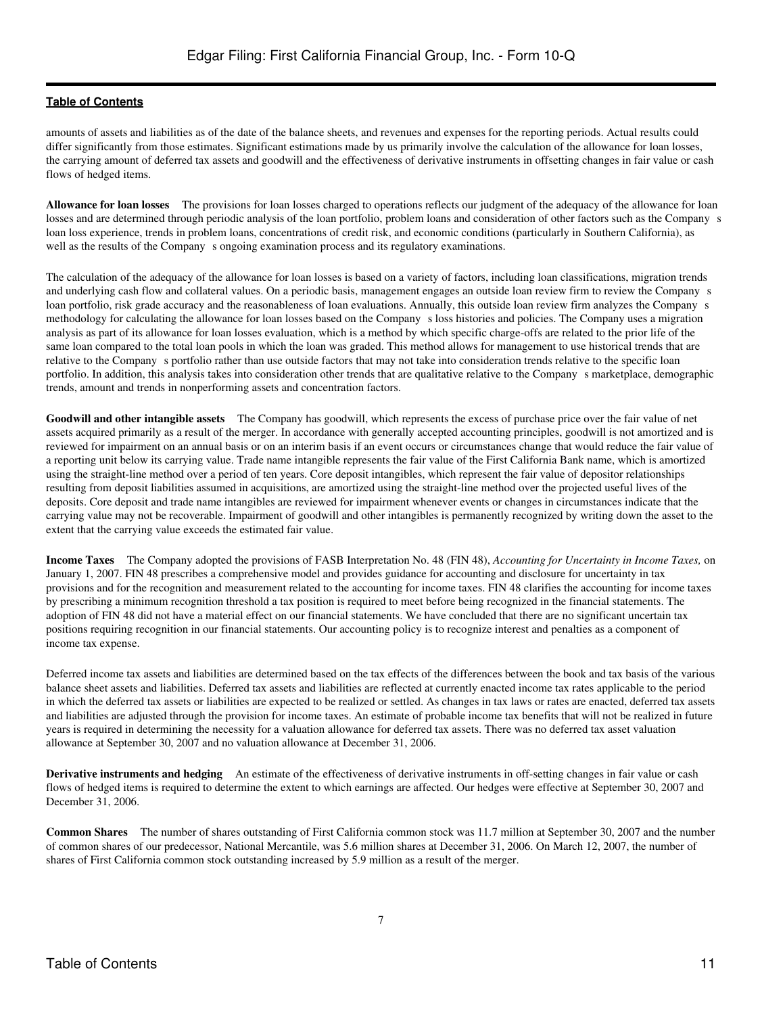amounts of assets and liabilities as of the date of the balance sheets, and revenues and expenses for the reporting periods. Actual results could differ significantly from those estimates. Significant estimations made by us primarily involve the calculation of the allowance for loan losses, the carrying amount of deferred tax assets and goodwill and the effectiveness of derivative instruments in offsetting changes in fair value or cash flows of hedged items.

**Allowance for loan losses** The provisions for loan losses charged to operations reflects our judgment of the adequacy of the allowance for loan losses and are determined through periodic analysis of the loan portfolio, problem loans and consideration of other factors such as the Companys loan loss experience, trends in problem loans, concentrations of credit risk, and economic conditions (particularly in Southern California), as well as the results of the Company s ongoing examination process and its regulatory examinations.

The calculation of the adequacy of the allowance for loan losses is based on a variety of factors, including loan classifications, migration trends and underlying cash flow and collateral values. On a periodic basis, management engages an outside loan review firm to review the Companys loan portfolio, risk grade accuracy and the reasonableness of loan evaluations. Annually, this outside loan review firm analyzes the Company s methodology for calculating the allowance for loan losses based on the Companys loss histories and policies. The Company uses a migration analysis as part of its allowance for loan losses evaluation, which is a method by which specific charge-offs are related to the prior life of the same loan compared to the total loan pools in which the loan was graded. This method allows for management to use historical trends that are relative to the Company s portfolio rather than use outside factors that may not take into consideration trends relative to the specific loan portfolio. In addition, this analysis takes into consideration other trends that are qualitative relative to the Company s marketplace, demographic trends, amount and trends in nonperforming assets and concentration factors.

**Goodwill and other intangible assets** The Company has goodwill, which represents the excess of purchase price over the fair value of net assets acquired primarily as a result of the merger. In accordance with generally accepted accounting principles, goodwill is not amortized and is reviewed for impairment on an annual basis or on an interim basis if an event occurs or circumstances change that would reduce the fair value of a reporting unit below its carrying value. Trade name intangible represents the fair value of the First California Bank name, which is amortized using the straight-line method over a period of ten years. Core deposit intangibles, which represent the fair value of depositor relationships resulting from deposit liabilities assumed in acquisitions, are amortized using the straight-line method over the projected useful lives of the deposits. Core deposit and trade name intangibles are reviewed for impairment whenever events or changes in circumstances indicate that the carrying value may not be recoverable. Impairment of goodwill and other intangibles is permanently recognized by writing down the asset to the extent that the carrying value exceeds the estimated fair value.

**Income Taxes** The Company adopted the provisions of FASB Interpretation No. 48 (FIN 48), *Accounting for Uncertainty in Income Taxes,* on January 1, 2007. FIN 48 prescribes a comprehensive model and provides guidance for accounting and disclosure for uncertainty in tax provisions and for the recognition and measurement related to the accounting for income taxes. FIN 48 clarifies the accounting for income taxes by prescribing a minimum recognition threshold a tax position is required to meet before being recognized in the financial statements. The adoption of FIN 48 did not have a material effect on our financial statements. We have concluded that there are no significant uncertain tax positions requiring recognition in our financial statements. Our accounting policy is to recognize interest and penalties as a component of income tax expense.

Deferred income tax assets and liabilities are determined based on the tax effects of the differences between the book and tax basis of the various balance sheet assets and liabilities. Deferred tax assets and liabilities are reflected at currently enacted income tax rates applicable to the period in which the deferred tax assets or liabilities are expected to be realized or settled. As changes in tax laws or rates are enacted, deferred tax assets and liabilities are adjusted through the provision for income taxes. An estimate of probable income tax benefits that will not be realized in future years is required in determining the necessity for a valuation allowance for deferred tax assets. There was no deferred tax asset valuation allowance at September 30, 2007 and no valuation allowance at December 31, 2006.

**Derivative instruments and hedging**  An estimate of the effectiveness of derivative instruments in off-setting changes in fair value or cash flows of hedged items is required to determine the extent to which earnings are affected. Our hedges were effective at September 30, 2007 and December 31, 2006.

**Common Shares**  The number of shares outstanding of First California common stock was 11.7 million at September 30, 2007 and the number of common shares of our predecessor, National Mercantile, was 5.6 million shares at December 31, 2006. On March 12, 2007, the number of shares of First California common stock outstanding increased by 5.9 million as a result of the merger.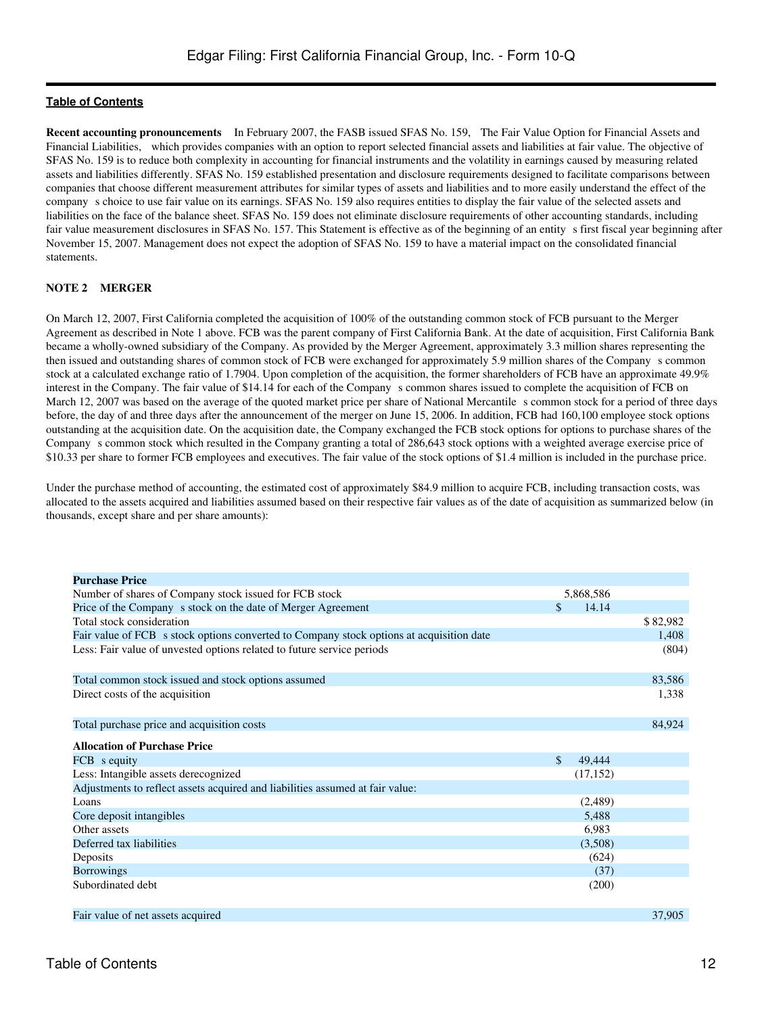**Recent accounting pronouncements** In February 2007, the FASB issued SFAS No. 159, The Fair Value Option for Financial Assets and Financial Liabilities, which provides companies with an option to report selected financial assets and liabilities at fair value. The objective of SFAS No. 159 is to reduce both complexity in accounting for financial instruments and the volatility in earnings caused by measuring related assets and liabilities differently. SFAS No. 159 established presentation and disclosure requirements designed to facilitate comparisons between companies that choose different measurement attributes for similar types of assets and liabilities and to more easily understand the effect of the companys choice to use fair value on its earnings. SFAS No. 159 also requires entities to display the fair value of the selected assets and liabilities on the face of the balance sheet. SFAS No. 159 does not eliminate disclosure requirements of other accounting standards, including fair value measurement disclosures in SFAS No. 157. This Statement is effective as of the beginning of an entity s first fiscal year beginning after November 15, 2007. Management does not expect the adoption of SFAS No. 159 to have a material impact on the consolidated financial statements.

# **NOTE 2 MERGER**

On March 12, 2007, First California completed the acquisition of 100% of the outstanding common stock of FCB pursuant to the Merger Agreement as described in Note 1 above. FCB was the parent company of First California Bank. At the date of acquisition, First California Bank became a wholly-owned subsidiary of the Company. As provided by the Merger Agreement, approximately 3.3 million shares representing the then issued and outstanding shares of common stock of FCB were exchanged for approximately 5.9 million shares of the Companys common stock at a calculated exchange ratio of 1.7904. Upon completion of the acquisition, the former shareholders of FCB have an approximate 49.9% interest in the Company. The fair value of \$14.14 for each of the Company s common shares issued to complete the acquisition of FCB on March 12, 2007 was based on the average of the quoted market price per share of National Mercantile s common stock for a period of three days before, the day of and three days after the announcement of the merger on June 15, 2006. In addition, FCB had 160,100 employee stock options outstanding at the acquisition date. On the acquisition date, the Company exchanged the FCB stock options for options to purchase shares of the Company s common stock which resulted in the Company granting a total of 286,643 stock options with a weighted average exercise price of \$10.33 per share to former FCB employees and executives. The fair value of the stock options of \$1.4 million is included in the purchase price.

Under the purchase method of accounting, the estimated cost of approximately \$84.9 million to acquire FCB, including transaction costs, was allocated to the assets acquired and liabilities assumed based on their respective fair values as of the date of acquisition as summarized below (in thousands, except share and per share amounts):

| <b>Purchase Price</b>                                                                    |                         |          |
|------------------------------------------------------------------------------------------|-------------------------|----------|
| Number of shares of Company stock issued for FCB stock                                   | 5,868,586               |          |
| Price of the Company s stock on the date of Merger Agreement                             | \$<br>14.14             |          |
| Total stock consideration                                                                |                         | \$82,982 |
| Fair value of FCB s stock options converted to Company stock options at acquisition date |                         | 1,408    |
| Less: Fair value of unvested options related to future service periods                   |                         | (804)    |
| Total common stock issued and stock options assumed                                      |                         | 83,586   |
| Direct costs of the acquisition                                                          |                         | 1,338    |
| Total purchase price and acquisition costs                                               |                         | 84,924   |
| <b>Allocation of Purchase Price</b>                                                      |                         |          |
| FCB s equity                                                                             | $\mathcal{S}$<br>49,444 |          |
| Less: Intangible assets derecognized                                                     | (17, 152)               |          |
| Adjustments to reflect assets acquired and liabilities assumed at fair value:            |                         |          |
| Loans                                                                                    | (2,489)                 |          |
| Core deposit intangibles                                                                 | 5,488                   |          |
| Other assets                                                                             | 6,983                   |          |
| Deferred tax liabilities                                                                 | (3,508)                 |          |
| Deposits                                                                                 | (624)                   |          |
| <b>Borrowings</b>                                                                        | (37)                    |          |
| Subordinated debt                                                                        | (200)                   |          |
| Fair value of net assets acquired                                                        |                         | 37.905   |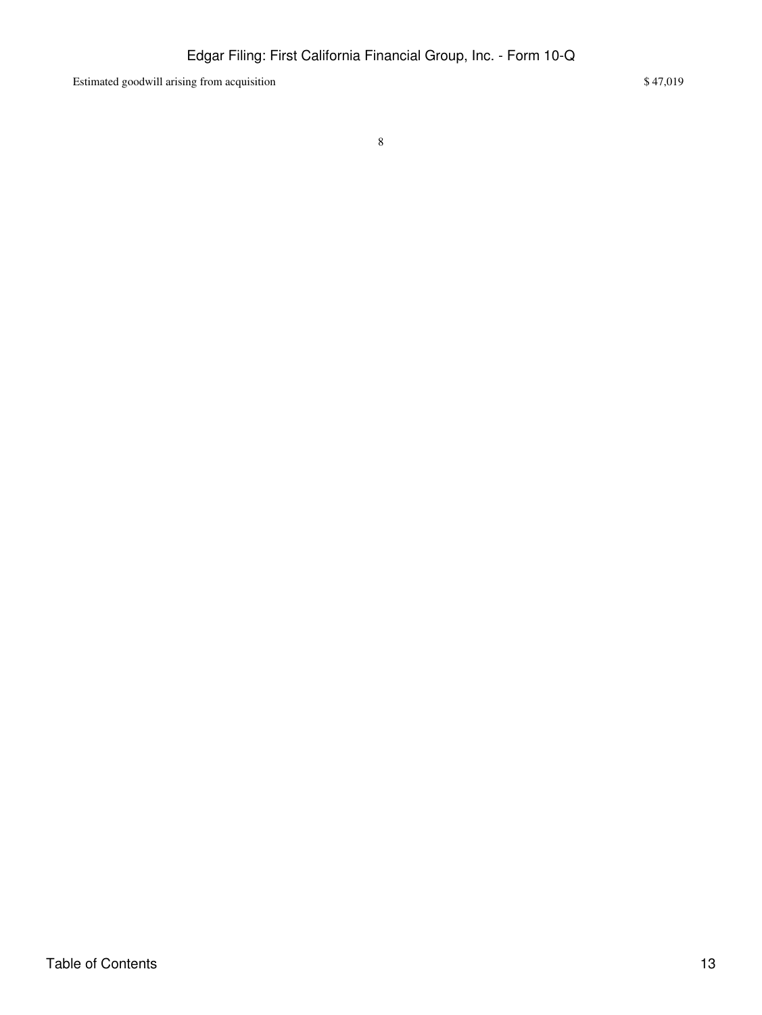Estimated goodwill arising from acquisition \$47,019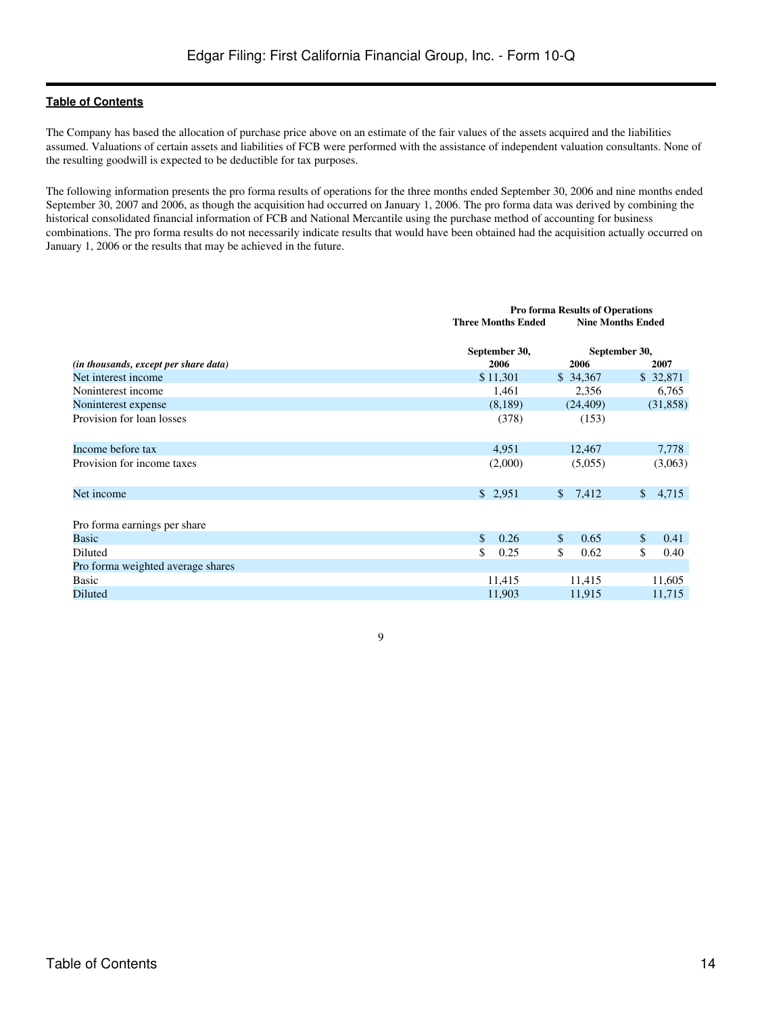The Company has based the allocation of purchase price above on an estimate of the fair values of the assets acquired and the liabilities assumed. Valuations of certain assets and liabilities of FCB were performed with the assistance of independent valuation consultants. None of the resulting goodwill is expected to be deductible for tax purposes.

The following information presents the pro forma results of operations for the three months ended September 30, 2006 and nine months ended September 30, 2007 and 2006, as though the acquisition had occurred on January 1, 2006. The pro forma data was derived by combining the historical consolidated financial information of FCB and National Mercantile using the purchase method of accounting for business combinations. The pro forma results do not necessarily indicate results that would have been obtained had the acquisition actually occurred on January 1, 2006 or the results that may be achieved in the future.

|                                       |                           | <b>Pro forma Results of Operations</b> |                          |  |  |  |  |
|---------------------------------------|---------------------------|----------------------------------------|--------------------------|--|--|--|--|
|                                       | <b>Three Months Ended</b> |                                        | <b>Nine Months Ended</b> |  |  |  |  |
| (in thousands, except per share data) | September 30,<br>2006     | 2006                                   | September 30,<br>2007    |  |  |  |  |
| Net interest income                   | \$11,301                  | \$34,367                               | \$ 32,871                |  |  |  |  |
| Noninterest income                    | 1,461                     | 2,356                                  | 6,765                    |  |  |  |  |
| Noninterest expense                   | (8,189)                   | (24, 409)                              | (31,858)                 |  |  |  |  |
| Provision for loan losses             | (378)                     | (153)                                  |                          |  |  |  |  |
| Income before tax                     | 4,951                     | 12,467                                 | 7,778                    |  |  |  |  |
| Provision for income taxes            | (2,000)                   | (5,055)                                | (3,063)                  |  |  |  |  |
| Net income                            | \$2,951                   | 7,412<br>$\mathbb{S}$                  | $\mathbb{S}$<br>4,715    |  |  |  |  |
| Pro forma earnings per share          |                           |                                        |                          |  |  |  |  |
| <b>Basic</b>                          | $\mathbb{S}$<br>0.26      | \$<br>0.65                             | $\mathbb{S}$<br>0.41     |  |  |  |  |
| Diluted                               | \$<br>0.25                | \$<br>0.62                             | \$<br>0.40               |  |  |  |  |
| Pro forma weighted average shares     |                           |                                        |                          |  |  |  |  |
| Basic                                 | 11,415                    | 11,415                                 | 11,605                   |  |  |  |  |
| Diluted                               | 11,903                    | 11,915                                 | 11,715                   |  |  |  |  |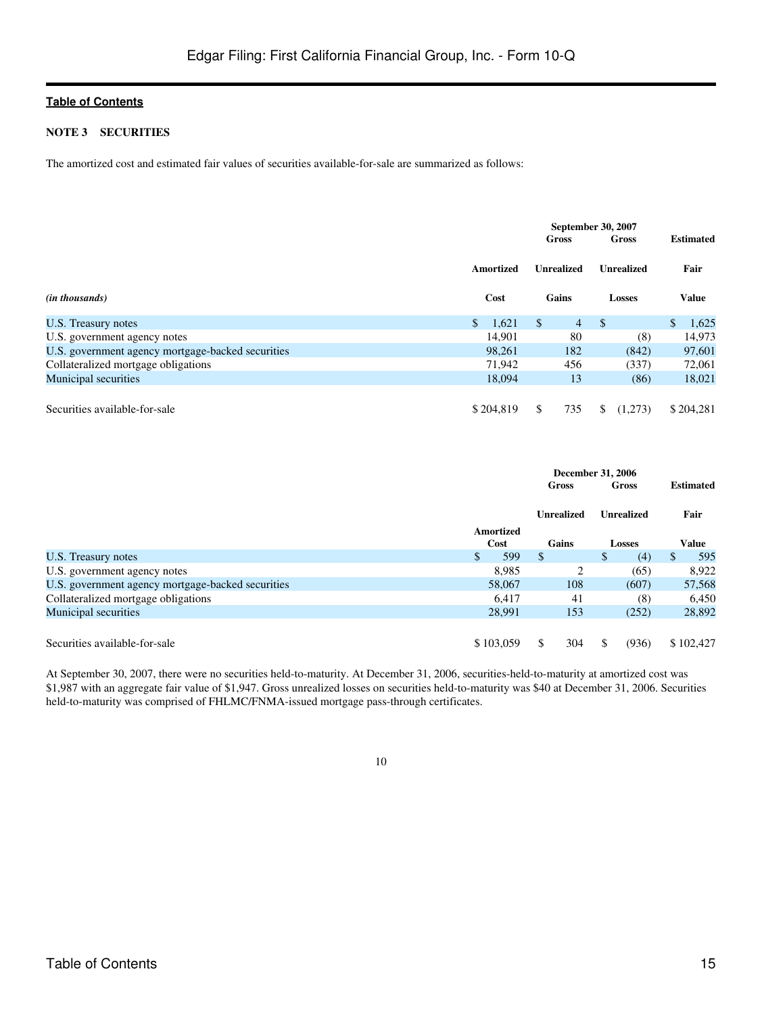#### **NOTE 3 SECURITIES**

The amortized cost and estimated fair values of securities available-for-sale are summarized as follows:

|                                                   |                       | <b>September 30, 2007</b><br>Gross |                   |                   | <b>Estimated</b> |           |
|---------------------------------------------------|-----------------------|------------------------------------|-------------------|-------------------|------------------|-----------|
|                                                   | <b>Amortized</b>      |                                    | <b>Unrealized</b> | <b>Unrealized</b> |                  | Fair      |
| ( <i>in thousands</i> )                           | Cost                  |                                    | Gains             | <b>Losses</b>     | <b>Value</b>     |           |
| U.S. Treasury notes                               | $\mathbb{S}$<br>1,621 | <sup>S</sup>                       | $\overline{4}$    | $\mathcal{S}$     | $\mathbb{S}$     | 1,625     |
| U.S. government agency notes                      | 14.901                |                                    | 80                | (8)               |                  | 14,973    |
| U.S. government agency mortgage-backed securities | 98.261                |                                    | 182               | (842)             |                  | 97,601    |
| Collateralized mortgage obligations               | 71,942                |                                    | 456               | (337)             |                  | 72,061    |
| Municipal securities                              | 18.094                |                                    | 13                | (86)              |                  | 18,021    |
|                                                   |                       |                                    |                   |                   |                  |           |
| Securities available-for-sale                     | \$204,819             | \$.                                | 735               | (1,273)<br>\$.    |                  | \$204.281 |

|                                                   |           | <b>December 31, 2006</b> |    |               |                     |  |
|---------------------------------------------------|-----------|--------------------------|----|---------------|---------------------|--|
|                                                   |           | Gross                    |    | Gross         | <b>Estimated</b>    |  |
|                                                   |           | Unrealized               |    | Unrealized    | Fair                |  |
|                                                   | Amortized |                          |    |               |                     |  |
|                                                   | Cost      | Gains                    |    | <b>Losses</b> | Value               |  |
| U.S. Treasury notes                               | 599<br>\$ | <sup>\$</sup>            |    | \$<br>(4)     | 595<br><sup>S</sup> |  |
| U.S. government agency notes                      | 8,985     |                          | 2  | (65)          | 8,922               |  |
| U.S. government agency mortgage-backed securities | 58,067    | 108                      |    | (607)         | 57,568              |  |
| Collateralized mortgage obligations               | 6.417     |                          | 41 | (8)           | 6,450               |  |
| Municipal securities                              | 28,991    | 153                      |    | (252)         | 28,892              |  |
|                                                   |           |                          |    |               |                     |  |
| Securities available-for-sale                     | \$103,059 | 304<br>S                 |    | \$.<br>(936)  | \$102,427           |  |

At September 30, 2007, there were no securities held-to-maturity. At December 31, 2006, securities-held-to-maturity at amortized cost was \$1,987 with an aggregate fair value of \$1,947. Gross unrealized losses on securities held-to-maturity was \$40 at December 31, 2006. Securities held-to-maturity was comprised of FHLMC/FNMA-issued mortgage pass-through certificates.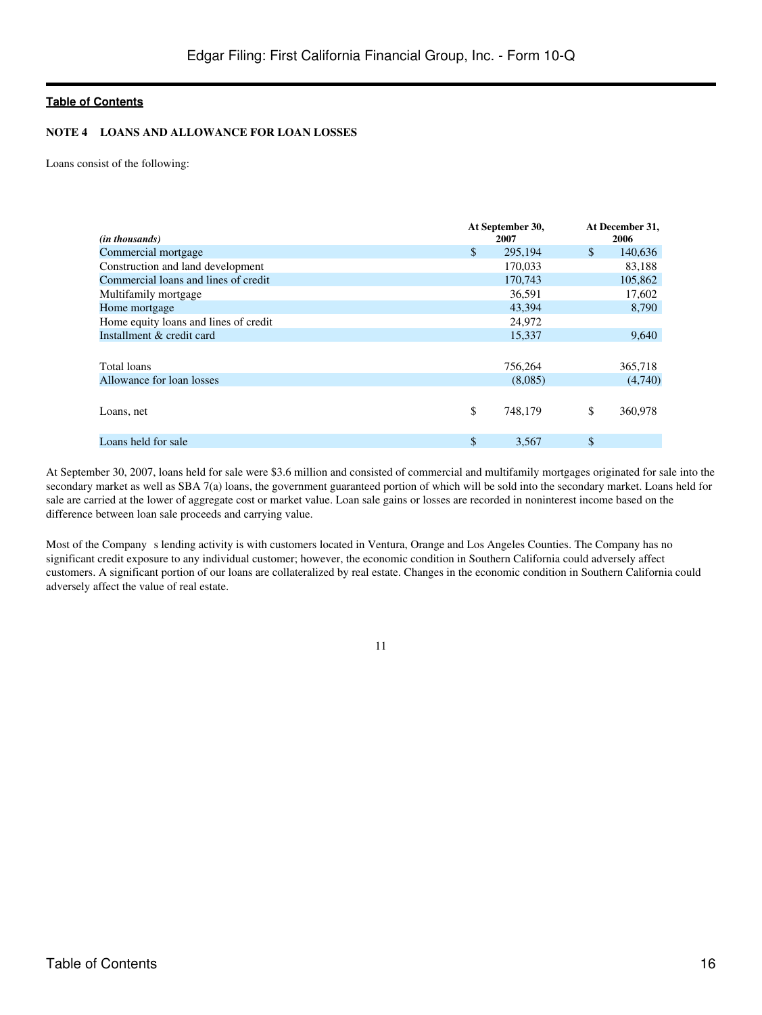# **NOTE 4 LOANS AND ALLOWANCE FOR LOAN LOSSES**

Loans consist of the following:

| ( <i>in thousands</i> )               |              | At September 30,<br>2007 |    | At December 31,<br>2006 |
|---------------------------------------|--------------|--------------------------|----|-------------------------|
|                                       |              |                          |    |                         |
| Commercial mortgage                   | $\mathbb{S}$ | 295,194                  | \$ | 140,636                 |
| Construction and land development     |              | 170,033                  |    | 83,188                  |
| Commercial loans and lines of credit  |              | 170,743                  |    | 105,862                 |
| Multifamily mortgage                  |              | 36,591                   |    | 17,602                  |
| Home mortgage                         |              | 43.394                   |    | 8,790                   |
| Home equity loans and lines of credit |              | 24,972                   |    |                         |
| Installment & credit card             |              | 15,337                   |    | 9,640                   |
|                                       |              |                          |    |                         |
| Total loans                           |              | 756,264                  |    | 365,718                 |
| Allowance for loan losses             |              | (8,085)                  |    | (4,740)                 |
|                                       |              |                          |    |                         |
| Loans, net                            | \$           | 748,179                  | \$ | 360,978                 |
|                                       |              |                          |    |                         |
| Loans held for sale                   | $\mathbb{S}$ | 3,567                    | \$ |                         |
|                                       |              |                          |    |                         |

At September 30, 2007, loans held for sale were \$3.6 million and consisted of commercial and multifamily mortgages originated for sale into the secondary market as well as SBA 7(a) loans, the government guaranteed portion of which will be sold into the secondary market. Loans held for sale are carried at the lower of aggregate cost or market value. Loan sale gains or losses are recorded in noninterest income based on the difference between loan sale proceeds and carrying value.

Most of the Company s lending activity is with customers located in Ventura, Orange and Los Angeles Counties. The Company has no significant credit exposure to any individual customer; however, the economic condition in Southern California could adversely affect customers. A significant portion of our loans are collateralized by real estate. Changes in the economic condition in Southern California could adversely affect the value of real estate.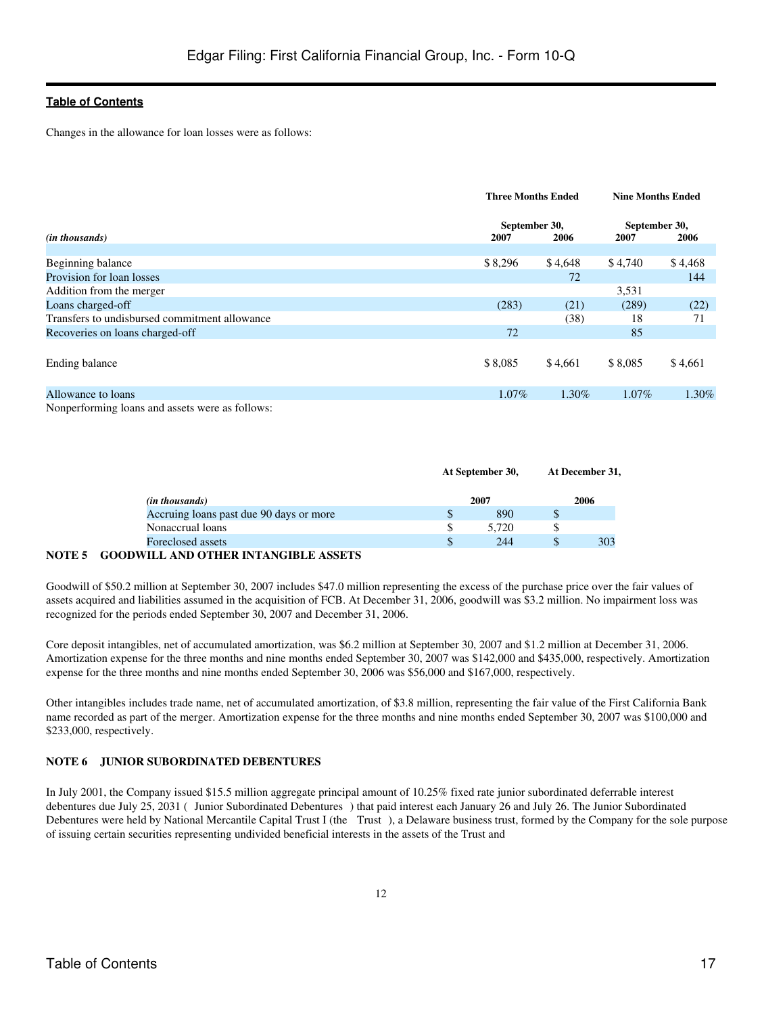Changes in the allowance for loan losses were as follows:

|                                               | <b>Three Months Ended</b> |         | <b>Nine Months Ended</b> |          |  |
|-----------------------------------------------|---------------------------|---------|--------------------------|----------|--|
|                                               | September 30,             |         | September 30,            |          |  |
| ( <i>in thousands</i> )                       | 2007                      | 2006    | 2007                     | 2006     |  |
| Beginning balance                             | \$8,296                   | \$4,648 | \$4,740                  | \$4,468  |  |
| Provision for loan losses                     |                           | 72      |                          | 144      |  |
| Addition from the merger                      |                           |         | 3,531                    |          |  |
| Loans charged-off                             | (283)                     | (21)    | (289)                    | (22)     |  |
| Transfers to undisbursed commitment allowance |                           | (38)    | 18                       | 71       |  |
| Recoveries on loans charged-off               | 72                        |         | 85                       |          |  |
| Ending balance                                | \$8,085                   | \$4,661 | \$8,085                  | \$4,661  |  |
| Allowance to loans                            | $1.07\%$                  | 1.30%   | 1.07%                    | $1.30\%$ |  |
| $M = 11$                                      |                           |         |                          |          |  |

Nonperforming loans and assets were as follows:

|                                         |      | At September 30, |    | At December 31, |
|-----------------------------------------|------|------------------|----|-----------------|
| (in thousands)                          | 2007 |                  |    | 2006            |
| Accruing loans past due 90 days or more | S    | 890              | ъb |                 |
| Nonaccrual loans                        | \$   | 5.720            |    |                 |
| Foreclosed assets                       | \$   | 244              |    | 303             |

### **NOTE 5 GOODWILL AND OTHER INTANGIBLE ASSETS**

Goodwill of \$50.2 million at September 30, 2007 includes \$47.0 million representing the excess of the purchase price over the fair values of assets acquired and liabilities assumed in the acquisition of FCB. At December 31, 2006, goodwill was \$3.2 million. No impairment loss was recognized for the periods ended September 30, 2007 and December 31, 2006.

Core deposit intangibles, net of accumulated amortization, was \$6.2 million at September 30, 2007 and \$1.2 million at December 31, 2006. Amortization expense for the three months and nine months ended September 30, 2007 was \$142,000 and \$435,000, respectively. Amortization expense for the three months and nine months ended September 30, 2006 was \$56,000 and \$167,000, respectively.

Other intangibles includes trade name, net of accumulated amortization, of \$3.8 million, representing the fair value of the First California Bank name recorded as part of the merger. Amortization expense for the three months and nine months ended September 30, 2007 was \$100,000 and \$233,000, respectively.

# **NOTE 6 JUNIOR SUBORDINATED DEBENTURES**

In July 2001, the Company issued \$15.5 million aggregate principal amount of 10.25% fixed rate junior subordinated deferrable interest debentures due July 25, 2031 (Junior Subordinated Debentures) that paid interest each January 26 and July 26. The Junior Subordinated Debentures were held by National Mercantile Capital Trust I (the Trust), a Delaware business trust, formed by the Company for the sole purpose of issuing certain securities representing undivided beneficial interests in the assets of the Trust and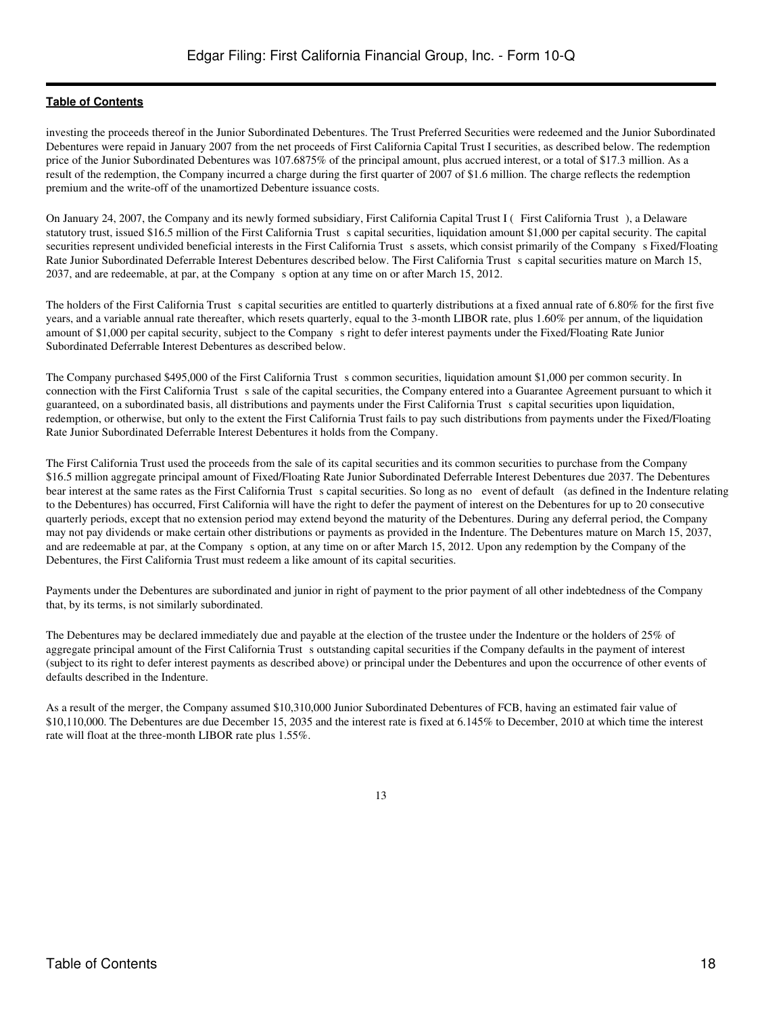investing the proceeds thereof in the Junior Subordinated Debentures. The Trust Preferred Securities were redeemed and the Junior Subordinated Debentures were repaid in January 2007 from the net proceeds of First California Capital Trust I securities, as described below. The redemption price of the Junior Subordinated Debentures was 107.6875% of the principal amount, plus accrued interest, or a total of \$17.3 million. As a result of the redemption, the Company incurred a charge during the first quarter of 2007 of \$1.6 million. The charge reflects the redemption premium and the write-off of the unamortized Debenture issuance costs.

On January 24, 2007, the Company and its newly formed subsidiary, First California Capital Trust I (First California Trust), a Delaware statutory trust, issued \$16.5 million of the First California Trust s capital securities, liquidation amount \$1,000 per capital security. The capital securities represent undivided beneficial interests in the First California Trust s assets, which consist primarily of the Company s Fixed/Floating Rate Junior Subordinated Deferrable Interest Debentures described below. The First California Trust s capital securities mature on March 15, 2037, and are redeemable, at par, at the Companys option at any time on or after March 15, 2012.

The holders of the First California Trust s capital securities are entitled to quarterly distributions at a fixed annual rate of 6.80% for the first five years, and a variable annual rate thereafter, which resets quarterly, equal to the 3-month LIBOR rate, plus 1.60% per annum, of the liquidation amount of \$1,000 per capital security, subject to the Companys right to defer interest payments under the Fixed/Floating Rate Junior Subordinated Deferrable Interest Debentures as described below.

The Company purchased \$495,000 of the First California Trust s common securities, liquidation amount \$1,000 per common security. In connection with the First California Trust s sale of the capital securities, the Company entered into a Guarantee Agreement pursuant to which it guaranteed, on a subordinated basis, all distributions and payments under the First California Trusts capital securities upon liquidation, redemption, or otherwise, but only to the extent the First California Trust fails to pay such distributions from payments under the Fixed/Floating Rate Junior Subordinated Deferrable Interest Debentures it holds from the Company.

The First California Trust used the proceeds from the sale of its capital securities and its common securities to purchase from the Company \$16.5 million aggregate principal amount of Fixed/Floating Rate Junior Subordinated Deferrable Interest Debentures due 2037. The Debentures bear interest at the same rates as the First California Trust s capital securities. So long as no event of default (as defined in the Indenture relating to the Debentures) has occurred, First California will have the right to defer the payment of interest on the Debentures for up to 20 consecutive quarterly periods, except that no extension period may extend beyond the maturity of the Debentures. During any deferral period, the Company may not pay dividends or make certain other distributions or payments as provided in the Indenture. The Debentures mature on March 15, 2037, and are redeemable at par, at the Company s option, at any time on or after March 15, 2012. Upon any redemption by the Company of the Debentures, the First California Trust must redeem a like amount of its capital securities.

Payments under the Debentures are subordinated and junior in right of payment to the prior payment of all other indebtedness of the Company that, by its terms, is not similarly subordinated.

The Debentures may be declared immediately due and payable at the election of the trustee under the Indenture or the holders of 25% of aggregate principal amount of the First California Trust s outstanding capital securities if the Company defaults in the payment of interest (subject to its right to defer interest payments as described above) or principal under the Debentures and upon the occurrence of other events of defaults described in the Indenture.

As a result of the merger, the Company assumed \$10,310,000 Junior Subordinated Debentures of FCB, having an estimated fair value of \$10,110,000. The Debentures are due December 15, 2035 and the interest rate is fixed at 6.145% to December, 2010 at which time the interest rate will float at the three-month LIBOR rate plus 1.55%.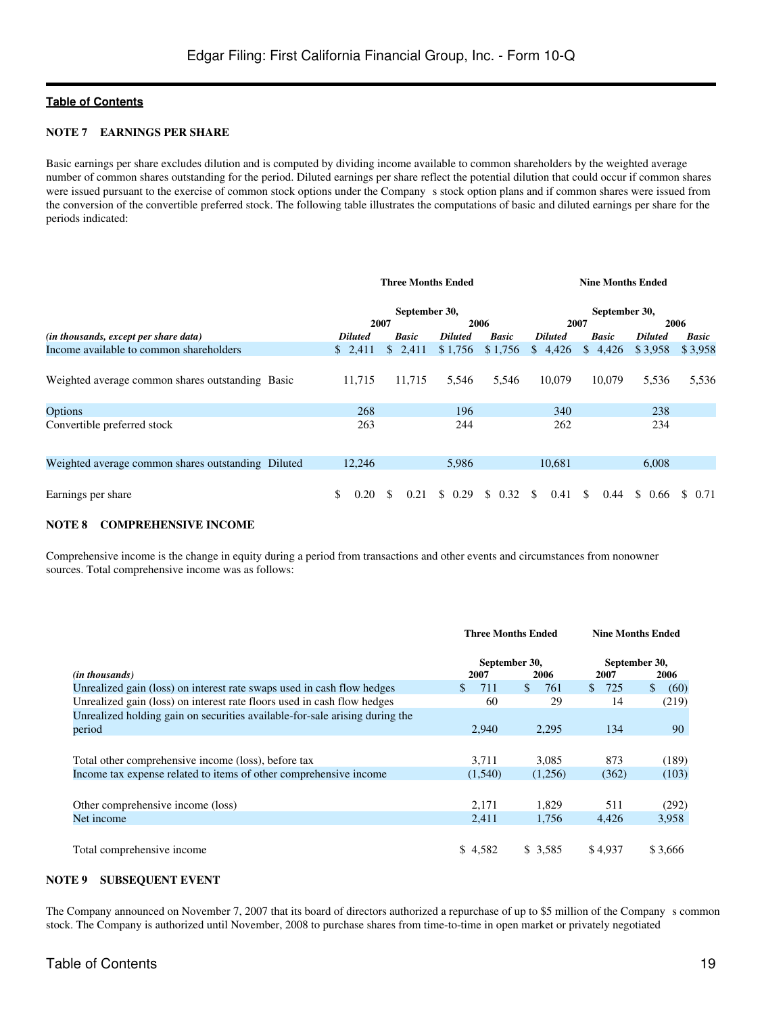#### **NOTE 7 EARNINGS PER SHARE**

Basic earnings per share excludes dilution and is computed by dividing income available to common shareholders by the weighted average number of common shares outstanding for the period. Diluted earnings per share reflect the potential dilution that could occur if common shares were issued pursuant to the exercise of common stock options under the Company s stock option plans and if common shares were issued from the conversion of the convertible preferred stock. The following table illustrates the computations of basic and diluted earnings per share for the periods indicated:

|                                                    |                | <b>Three Months Ended</b> |                |              |                | <b>Nine Months Ended</b> |                |                       |
|----------------------------------------------------|----------------|---------------------------|----------------|--------------|----------------|--------------------------|----------------|-----------------------|
|                                                    |                | September 30,             |                |              |                | September 30,            |                |                       |
|                                                    |                | 2007                      |                | 2006         |                | 2007                     |                | 2006                  |
| (in thousands, except per share data)              | <b>Diluted</b> | <b>Basic</b>              | <b>Diluted</b> | <b>Basic</b> | <b>Diluted</b> | <b>Basic</b>             | <b>Diluted</b> | <b>Basic</b>          |
| Income available to common shareholders            | \$2,411        | \$2,411                   | \$1,756        | \$1,756      | \$4,426        | \$4,426                  | \$3,958        | \$3,958               |
| Weighted average common shares outstanding Basic   | 11.715         | 11,715                    | 5,546          | 5,546        | 10,079         | 10.079                   | 5,536          | 5,536                 |
| Options                                            | 268            |                           | 196            |              | 340            |                          | 238            |                       |
| Convertible preferred stock                        | 263            |                           | 244            |              | 262            |                          | 234            |                       |
| Weighted average common shares outstanding Diluted | 12,246         |                           | 5,986          |              | 10,681         |                          | 6,008          |                       |
| Earnings per share                                 | \$<br>0.20     | \$.<br>0.21               | \$<br>0.29     | \$<br>0.32   | \$.<br>0.41    | \$<br>0.44               | \$0.66         | <sup>\$</sup><br>0.71 |

#### **NOTE 8 COMPREHENSIVE INCOME**

Comprehensive income is the change in equity during a period from transactions and other events and circumstances from nonowner sources. Total comprehensive income was as follows:

|                                                                             | <b>Three Months Ended</b> |            | <b>Nine Months Ended</b> |                      |
|-----------------------------------------------------------------------------|---------------------------|------------|--------------------------|----------------------|
| (in thousands)                                                              | September 30,<br>2007     | 2006       | September 30,<br>2007    | 2006                 |
| Unrealized gain (loss) on interest rate swaps used in cash flow hedges      | 711<br>\$.                | \$.<br>761 | 725<br>S.                | $\mathbb{S}$<br>(60) |
| Unrealized gain (loss) on interest rate floors used in cash flow hedges     | 60                        | 29         | 14                       | (219)                |
| Unrealized holding gain on securities available-for-sale arising during the |                           |            |                          |                      |
| period                                                                      | 2.940                     | 2.295      | 134                      | 90                   |
| Total other comprehensive income (loss), before tax                         | 3,711                     | 3.085      | 873                      | (189)                |
| Income tax expense related to items of other comprehensive income           | (1,540)                   | (1,256)    | (362)                    | (103)                |
|                                                                             |                           |            |                          |                      |
| Other comprehensive income (loss)                                           | 2.171                     | 1.829      | 511                      | (292)                |
| Net income                                                                  | 2,411                     | 1.756      | 4.426                    | 3,958                |
|                                                                             |                           |            |                          |                      |
| Total comprehensive income                                                  | \$4,582                   | \$3,585    | \$4.937                  | \$3,666              |

# **NOTE 9 SUBSEQUENT EVENT**

The Company announced on November 7, 2007 that its board of directors authorized a repurchase of up to \$5 million of the Company s common stock. The Company is authorized until November, 2008 to purchase shares from time-to-time in open market or privately negotiated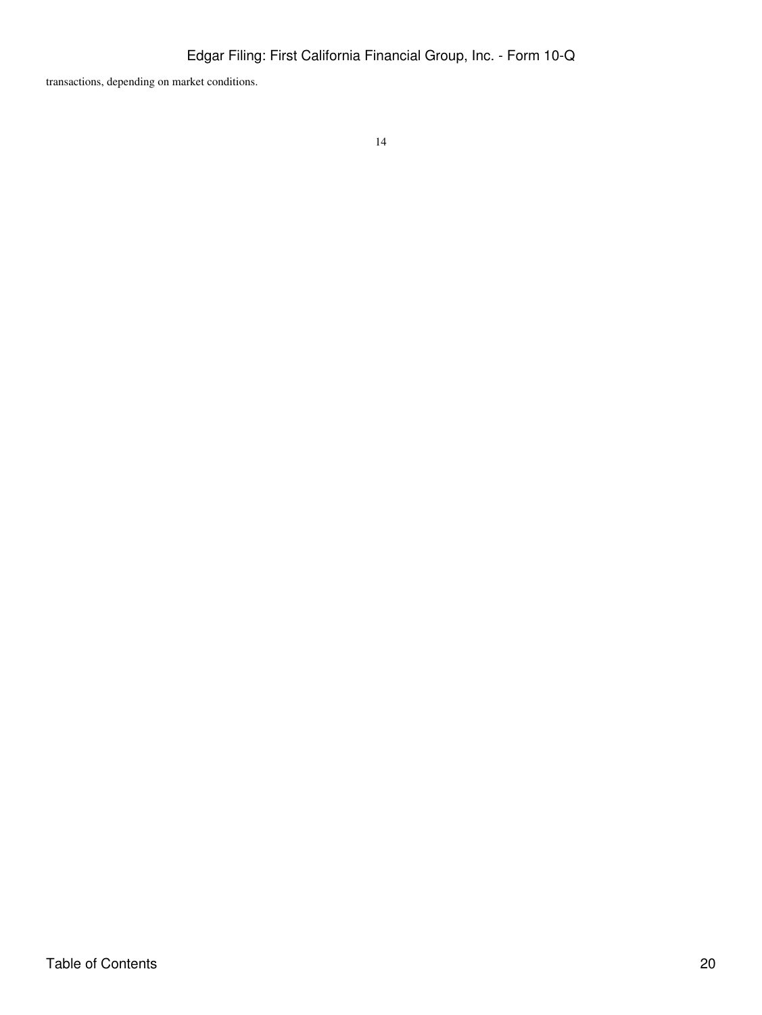transactions, depending on market conditions.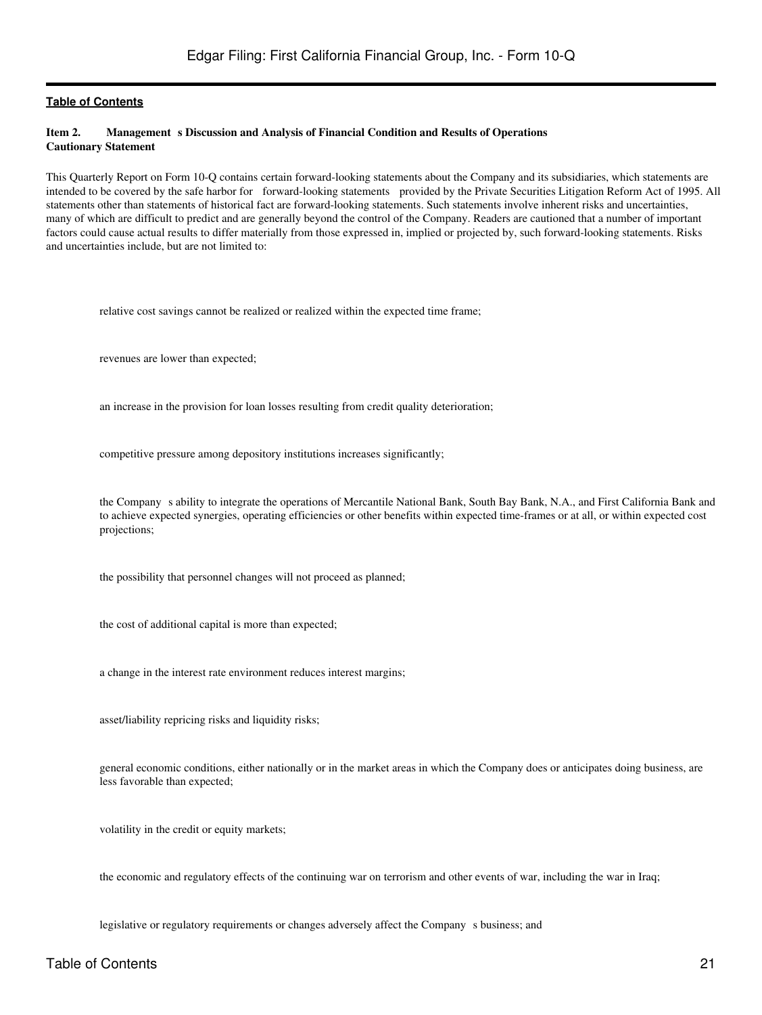#### <span id="page-20-0"></span>Item 2. **Management s Discussion and Analysis of Financial Condition and Results of Operations Cautionary Statement**

This Quarterly Report on Form 10-Q contains certain forward-looking statements about the Company and its subsidiaries, which statements are intended to be covered by the safe harbor for forward-looking statements provided by the Private Securities Litigation Reform Act of 1995. All statements other than statements of historical fact are forward-looking statements. Such statements involve inherent risks and uncertainties, many of which are difficult to predict and are generally beyond the control of the Company. Readers are cautioned that a number of important factors could cause actual results to differ materially from those expressed in, implied or projected by, such forward-looking statements. Risks and uncertainties include, but are not limited to:

relative cost savings cannot be realized or realized within the expected time frame;

revenues are lower than expected;

an increase in the provision for loan losses resulting from credit quality deterioration;

competitive pressure among depository institutions increases significantly;

the Company s ability to integrate the operations of Mercantile National Bank, South Bay Bank, N.A., and First California Bank and to achieve expected synergies, operating efficiencies or other benefits within expected time-frames or at all, or within expected cost projections;

the possibility that personnel changes will not proceed as planned;

the cost of additional capital is more than expected;

a change in the interest rate environment reduces interest margins;

asset/liability repricing risks and liquidity risks;

general economic conditions, either nationally or in the market areas in which the Company does or anticipates doing business, are less favorable than expected;

volatility in the credit or equity markets;

the economic and regulatory effects of the continuing war on terrorism and other events of war, including the war in Iraq;

legislative or regulatory requirements or changes adversely affect the Company s business; and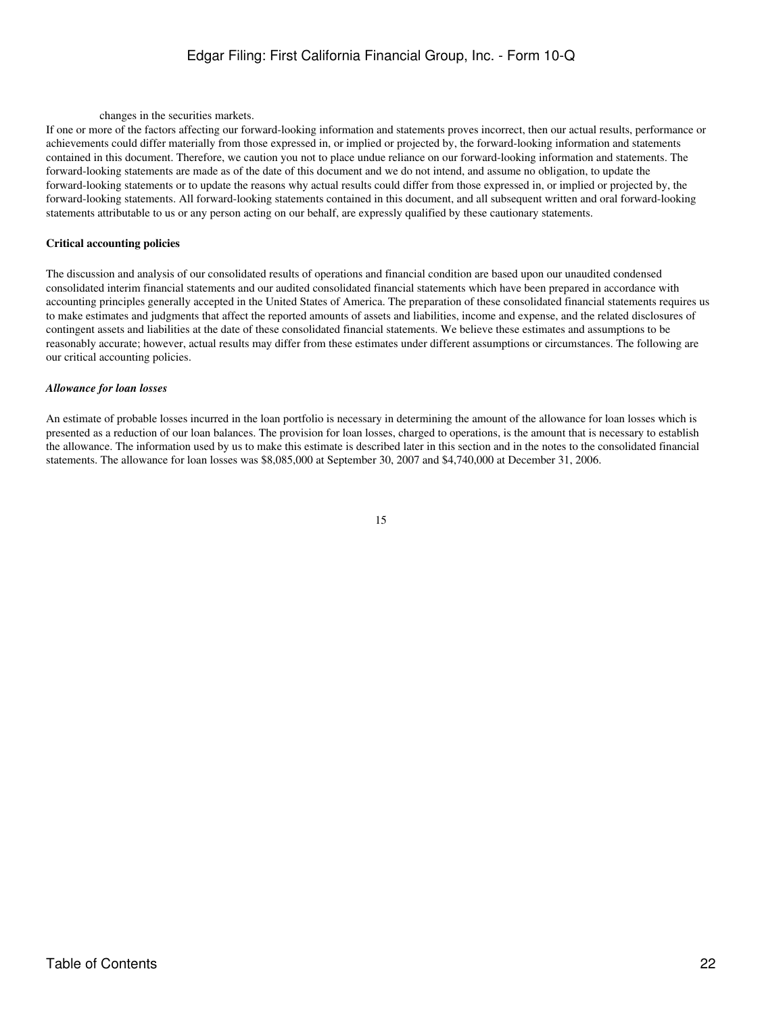# Edgar Filing: First California Financial Group, Inc. - Form 10-Q

changes in the securities markets.

If one or more of the factors affecting our forward-looking information and statements proves incorrect, then our actual results, performance or achievements could differ materially from those expressed in, or implied or projected by, the forward-looking information and statements contained in this document. Therefore, we caution you not to place undue reliance on our forward-looking information and statements. The forward-looking statements are made as of the date of this document and we do not intend, and assume no obligation, to update the forward-looking statements or to update the reasons why actual results could differ from those expressed in, or implied or projected by, the forward-looking statements. All forward-looking statements contained in this document, and all subsequent written and oral forward-looking statements attributable to us or any person acting on our behalf, are expressly qualified by these cautionary statements.

#### **Critical accounting policies**

The discussion and analysis of our consolidated results of operations and financial condition are based upon our unaudited condensed consolidated interim financial statements and our audited consolidated financial statements which have been prepared in accordance with accounting principles generally accepted in the United States of America. The preparation of these consolidated financial statements requires us to make estimates and judgments that affect the reported amounts of assets and liabilities, income and expense, and the related disclosures of contingent assets and liabilities at the date of these consolidated financial statements. We believe these estimates and assumptions to be reasonably accurate; however, actual results may differ from these estimates under different assumptions or circumstances. The following are our critical accounting policies.

#### *Allowance for loan losses*

An estimate of probable losses incurred in the loan portfolio is necessary in determining the amount of the allowance for loan losses which is presented as a reduction of our loan balances. The provision for loan losses, charged to operations, is the amount that is necessary to establish the allowance. The information used by us to make this estimate is described later in this section and in the notes to the consolidated financial statements. The allowance for loan losses was \$8,085,000 at September 30, 2007 and \$4,740,000 at December 31, 2006.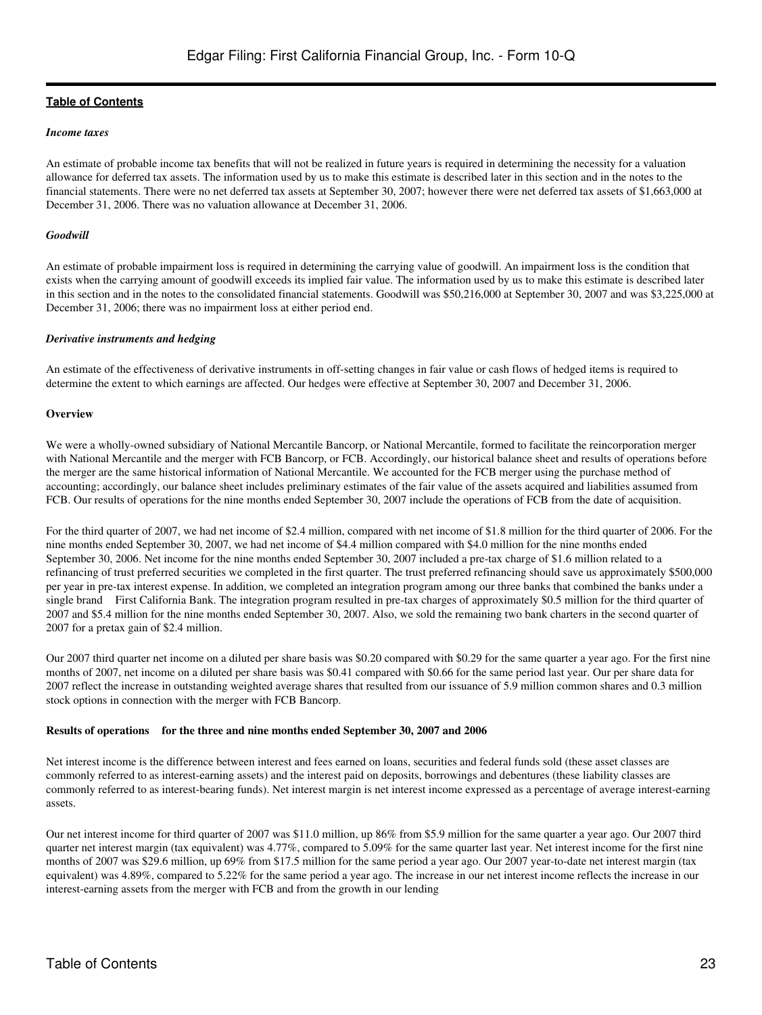#### *Income taxes*

An estimate of probable income tax benefits that will not be realized in future years is required in determining the necessity for a valuation allowance for deferred tax assets. The information used by us to make this estimate is described later in this section and in the notes to the financial statements. There were no net deferred tax assets at September 30, 2007; however there were net deferred tax assets of \$1,663,000 at December 31, 2006. There was no valuation allowance at December 31, 2006.

#### *Goodwill*

An estimate of probable impairment loss is required in determining the carrying value of goodwill. An impairment loss is the condition that exists when the carrying amount of goodwill exceeds its implied fair value. The information used by us to make this estimate is described later in this section and in the notes to the consolidated financial statements. Goodwill was \$50,216,000 at September 30, 2007 and was \$3,225,000 at December 31, 2006; there was no impairment loss at either period end.

#### *Derivative instruments and hedging*

An estimate of the effectiveness of derivative instruments in off-setting changes in fair value or cash flows of hedged items is required to determine the extent to which earnings are affected. Our hedges were effective at September 30, 2007 and December 31, 2006.

#### **Overview**

We were a wholly-owned subsidiary of National Mercantile Bancorp, or National Mercantile, formed to facilitate the reincorporation merger with National Mercantile and the merger with FCB Bancorp, or FCB. Accordingly, our historical balance sheet and results of operations before the merger are the same historical information of National Mercantile. We accounted for the FCB merger using the purchase method of accounting; accordingly, our balance sheet includes preliminary estimates of the fair value of the assets acquired and liabilities assumed from FCB. Our results of operations for the nine months ended September 30, 2007 include the operations of FCB from the date of acquisition.

For the third quarter of 2007, we had net income of \$2.4 million, compared with net income of \$1.8 million for the third quarter of 2006. For the nine months ended September 30, 2007, we had net income of \$4.4 million compared with \$4.0 million for the nine months ended September 30, 2006. Net income for the nine months ended September 30, 2007 included a pre-tax charge of \$1.6 million related to a refinancing of trust preferred securities we completed in the first quarter. The trust preferred refinancing should save us approximately \$500,000 per year in pre-tax interest expense. In addition, we completed an integration program among our three banks that combined the banks under a single brand First California Bank. The integration program resulted in pre-tax charges of approximately \$0.5 million for the third quarter of 2007 and \$5.4 million for the nine months ended September 30, 2007. Also, we sold the remaining two bank charters in the second quarter of 2007 for a pretax gain of \$2.4 million.

Our 2007 third quarter net income on a diluted per share basis was \$0.20 compared with \$0.29 for the same quarter a year ago. For the first nine months of 2007, net income on a diluted per share basis was \$0.41 compared with \$0.66 for the same period last year. Our per share data for 2007 reflect the increase in outstanding weighted average shares that resulted from our issuance of 5.9 million common shares and 0.3 million stock options in connection with the merger with FCB Bancorp.

#### **Results of operations for the three and nine months ended September 30, 2007 and 2006**

Net interest income is the difference between interest and fees earned on loans, securities and federal funds sold (these asset classes are commonly referred to as interest-earning assets) and the interest paid on deposits, borrowings and debentures (these liability classes are commonly referred to as interest-bearing funds). Net interest margin is net interest income expressed as a percentage of average interest-earning assets.

Our net interest income for third quarter of 2007 was \$11.0 million, up 86% from \$5.9 million for the same quarter a year ago. Our 2007 third quarter net interest margin (tax equivalent) was 4.77%, compared to 5.09% for the same quarter last year. Net interest income for the first nine months of 2007 was \$29.6 million, up 69% from \$17.5 million for the same period a year ago. Our 2007 year-to-date net interest margin (tax equivalent) was 4.89%, compared to 5.22% for the same period a year ago. The increase in our net interest income reflects the increase in our interest-earning assets from the merger with FCB and from the growth in our lending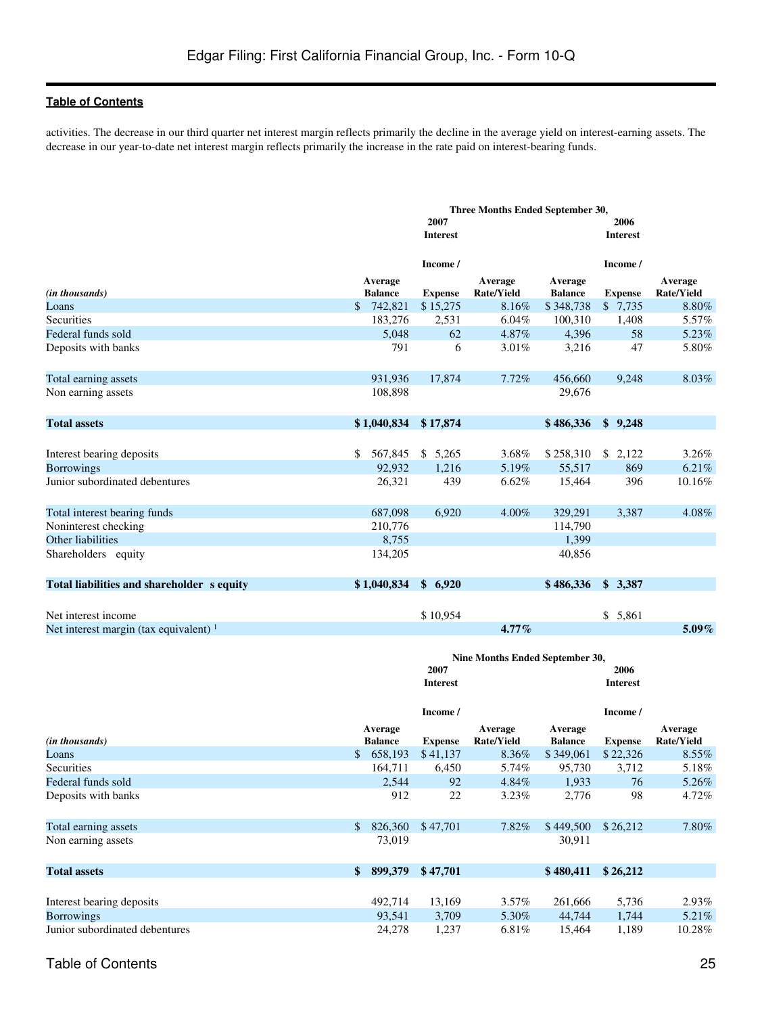activities. The decrease in our third quarter net interest margin reflects primarily the decline in the average yield on interest-earning assets. The decrease in our year-to-date net interest margin reflects primarily the increase in the rate paid on interest-bearing funds.

|                                            | Three Months Ended September 30, |                 |                                 |                           |                 |                              |
|--------------------------------------------|----------------------------------|-----------------|---------------------------------|---------------------------|-----------------|------------------------------|
|                                            |                                  | 2007            |                                 |                           | 2006            |                              |
|                                            |                                  | <b>Interest</b> |                                 |                           | <b>Interest</b> |                              |
|                                            |                                  | Income /        |                                 |                           | Income /        |                              |
| (in thousands)                             | Average<br><b>Balance</b>        | <b>Expense</b>  | Average<br><b>Rate/Yield</b>    | Average<br><b>Balance</b> | <b>Expense</b>  | Average<br><b>Rate/Yield</b> |
| Loans                                      | 742,821<br>\$                    | \$15,275        | 8.16%                           | \$348,738                 | \$7,735         | 8.80%                        |
| Securities                                 | 183,276                          | 2,531           | 6.04%                           | 100,310                   | 1,408           | 5.57%                        |
| Federal funds sold                         | 5,048                            | 62              | 4.87%                           | 4,396                     | 58              | 5.23%                        |
| Deposits with banks                        | 791                              | 6               | 3.01%                           | 3,216                     | 47              | 5.80%                        |
| Total earning assets                       | 931,936                          | 17,874          | 7.72%                           | 456,660                   | 9,248           | 8.03%                        |
| Non earning assets                         | 108,898                          |                 |                                 | 29,676                    |                 |                              |
| <b>Total assets</b>                        | \$1,040,834                      | \$17,874        |                                 | \$486,336                 | \$9,248         |                              |
|                                            |                                  |                 |                                 |                           |                 |                              |
| Interest bearing deposits                  | 567,845<br>\$                    | \$5,265         | 3.68%                           | \$258,310                 | \$2,122         | 3.26%                        |
| <b>Borrowings</b>                          | 92.932                           | 1,216           | 5.19%                           | 55,517                    | 869             | 6.21%                        |
| Junior subordinated debentures             | 26,321                           | 439             | 6.62%                           | 15,464                    | 396             | 10.16%                       |
| Total interest bearing funds               | 687,098                          | 6,920           | 4.00%                           | 329,291                   | 3,387           | 4.08%                        |
| Noninterest checking                       | 210,776                          |                 |                                 | 114,790                   |                 |                              |
| Other liabilities                          | 8,755                            |                 |                                 | 1,399                     |                 |                              |
| Shareholders equity                        | 134,205                          |                 |                                 | 40,856                    |                 |                              |
| Total liabilities and shareholder s equity | \$1,040,834                      | \$6,920         |                                 | \$486,336                 | \$3,387         |                              |
|                                            |                                  |                 |                                 |                           |                 |                              |
| Net interest income                        |                                  | \$10,954        |                                 |                           | \$5,861         |                              |
| Net interest margin (tax equivalent) $1$   |                                  |                 | $4.77\%$                        |                           |                 | $5.09\%$                     |
|                                            |                                  |                 | Nine Months Ended September 30, |                           |                 |                              |
|                                            |                                  | 2007            |                                 |                           | 2006            |                              |
|                                            |                                  | <b>Interest</b> |                                 |                           | <b>Interest</b> |                              |
|                                            |                                  | Income /        |                                 |                           | Income /        |                              |
| (in thousands)                             | Average<br><b>Balance</b>        | <b>Expense</b>  | Average<br><b>Rate/Yield</b>    | Average<br><b>Balance</b> | <b>Expense</b>  | Average<br><b>Rate/Yield</b> |
| Loans                                      | 658,193<br>\$                    | \$41,137        | 8.36%                           | \$349,061                 | \$22,326        | $8.55\%$                     |
| Securities                                 | 164,711                          | 6,450           | 5.74%                           | 95,730                    | 3,712           | 5.18%                        |
| Federal funds sold                         | 2,544                            | 92              | $4.84\%$                        | 1,933                     | 76              | $5.26\%$                     |
| Deposits with banks                        | 912                              | 22              | 3.23%                           | 2,776                     | 98              | 4.72%                        |
| Total earning assets                       | 826,360<br>\$                    | \$47,701        | 7.82%                           | \$449,500                 | \$26,212        | 7.80%                        |
| Non earning assets                         | 73,019                           |                 |                                 | 30,911                    |                 |                              |
| <b>Total assets</b>                        | \$<br>899,379                    | \$47,701        |                                 | \$480,411                 | \$26,212        |                              |
|                                            |                                  |                 |                                 |                           |                 |                              |
| Interest bearing deposits                  | 492,714                          | 13,169          | 3.57%                           | 261,666                   | 5,736           | 2.93%                        |
| <b>Borrowings</b>                          | 93,541                           | 3,709           | $5.30\%$                        | 44,744                    | 1,744           | 5.21%                        |

Junior subordinated debentures 24,278 1,237 6.81% 15,464 1,189 10.28%

Table of Contents 25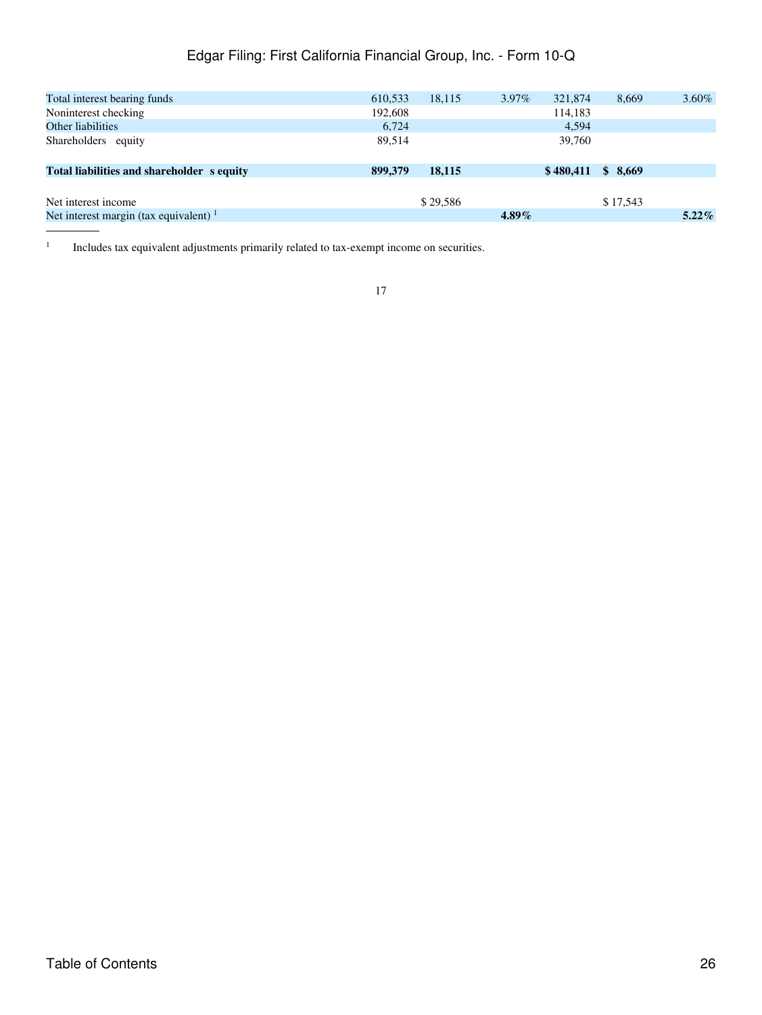# Edgar Filing: First California Financial Group, Inc. - Form 10-Q

| Total interest bearing funds               | 610,533 | 18,115   | $3.97\%$ | 321,874   | 8.669    | $3.60\%$ |
|--------------------------------------------|---------|----------|----------|-----------|----------|----------|
| Noninterest checking                       | 192,608 |          |          | 114,183   |          |          |
| Other liabilities                          | 6,724   |          |          | 4,594     |          |          |
| Shareholders equity                        | 89.514  |          |          | 39,760    |          |          |
| Total liabilities and shareholder s equity | 899,379 | 18.115   |          | \$480.411 | \$8.669  |          |
|                                            |         |          |          |           |          |          |
| Net interest income                        |         | \$29,586 |          |           | \$17,543 |          |
| Net interest margin (tax equivalent) $1$   |         |          | $4.89\%$ |           |          | $5.22\%$ |

1 Includes tax equivalent adjustments primarily related to tax-exempt income on securities.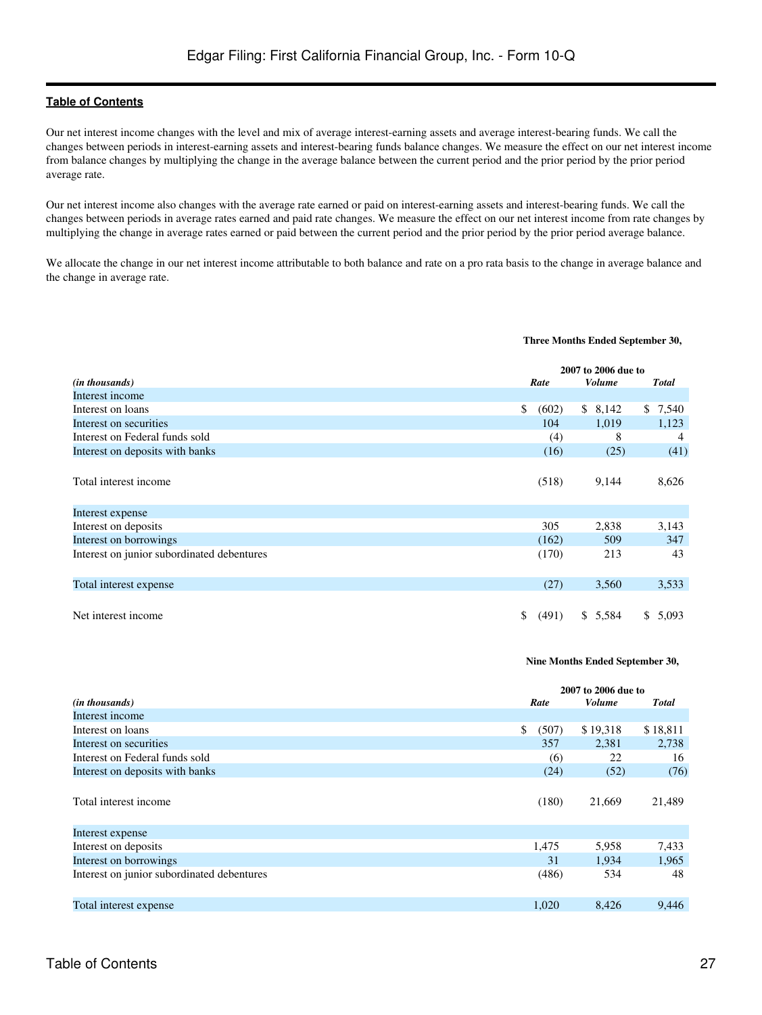Our net interest income changes with the level and mix of average interest-earning assets and average interest-bearing funds. We call the changes between periods in interest-earning assets and interest-bearing funds balance changes. We measure the effect on our net interest income from balance changes by multiplying the change in the average balance between the current period and the prior period by the prior period average rate.

Our net interest income also changes with the average rate earned or paid on interest-earning assets and interest-bearing funds. We call the changes between periods in average rates earned and paid rate changes. We measure the effect on our net interest income from rate changes by multiplying the change in average rates earned or paid between the current period and the prior period by the prior period average balance.

We allocate the change in our net interest income attributable to both balance and rate on a pro rata basis to the change in average balance and the change in average rate.

#### **Three Months Ended September 30,**

|                                            | 2007 to 2006 due to |       |  |               |  |              |
|--------------------------------------------|---------------------|-------|--|---------------|--|--------------|
| ( <i>in thousands</i> )                    |                     | Rate  |  | <b>Volume</b> |  | <b>Total</b> |
| Interest income                            |                     |       |  |               |  |              |
| Interest on loans                          | \$                  | (602) |  | \$8,142       |  | \$7,540      |
| Interest on securities                     |                     | 104   |  | 1,019         |  | 1,123        |
| Interest on Federal funds sold             |                     | (4)   |  | 8             |  | 4            |
| Interest on deposits with banks            |                     | (16)  |  | (25)          |  | (41)         |
| Total interest income                      |                     | (518) |  | 9,144         |  | 8,626        |
| Interest expense                           |                     |       |  |               |  |              |
| Interest on deposits                       |                     | 305   |  | 2,838         |  | 3,143        |
| Interest on borrowings                     |                     | (162) |  | 509           |  | 347          |
| Interest on junior subordinated debentures |                     | (170) |  | 213           |  | 43           |
| Total interest expense                     |                     | (27)  |  | 3,560         |  | 3,533        |
| Net interest income                        | \$                  | (491) |  | \$5,584       |  | \$5,093      |

#### **Nine Months Ended September 30,**

|                                            |             | 2007 to 2006 due to |              |
|--------------------------------------------|-------------|---------------------|--------------|
| ( <i>in thousands</i> )                    | Rate        | <b>Volume</b>       | <b>Total</b> |
| Interest income                            |             |                     |              |
| Interest on loans                          | \$<br>(507) | \$19,318            | \$18,811     |
| Interest on securities                     | 357         | 2,381               | 2,738        |
| Interest on Federal funds sold             | (6)         | 22                  | 16           |
| Interest on deposits with banks            | (24)        | (52)                | (76)         |
| Total interest income                      | (180)       | 21,669              | 21,489       |
| Interest expense                           |             |                     |              |
| Interest on deposits                       | 1,475       | 5,958               | 7,433        |
| Interest on borrowings                     | 31          | 1,934               | 1,965        |
| Interest on junior subordinated debentures | (486)       | 534                 | 48           |
| Total interest expense                     | 1,020       | 8,426               | 9,446        |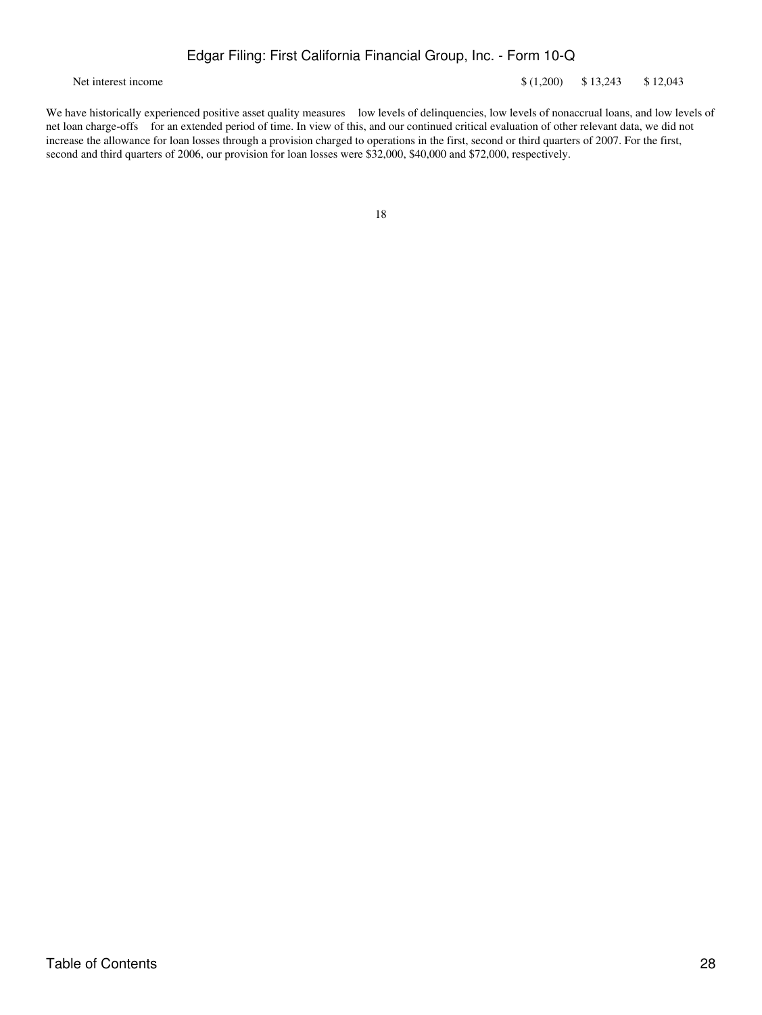Net interest income  $\frac{1}{2043}$  \$12,043 \$12,043

We have historically experienced positive asset quality measures low levels of delinquencies, low levels of nonaccrual loans, and low levels of net loan charge-offs for an extended period of time. In view of this, and our continued critical evaluation of other relevant data, we did not increase the allowance for loan losses through a provision charged to operations in the first, second or third quarters of 2007. For the first, second and third quarters of 2006, our provision for loan losses were \$32,000, \$40,000 and \$72,000, respectively.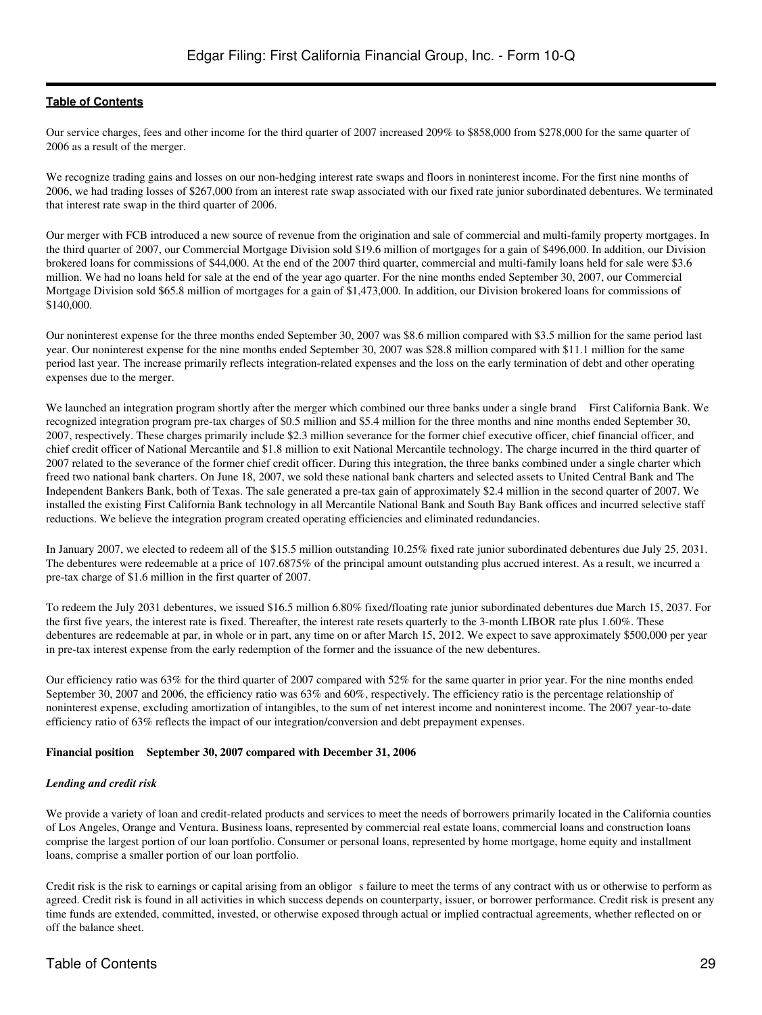Our service charges, fees and other income for the third quarter of 2007 increased 209% to \$858,000 from \$278,000 for the same quarter of 2006 as a result of the merger.

We recognize trading gains and losses on our non-hedging interest rate swaps and floors in noninterest income. For the first nine months of 2006, we had trading losses of \$267,000 from an interest rate swap associated with our fixed rate junior subordinated debentures. We terminated that interest rate swap in the third quarter of 2006.

Our merger with FCB introduced a new source of revenue from the origination and sale of commercial and multi-family property mortgages. In the third quarter of 2007, our Commercial Mortgage Division sold \$19.6 million of mortgages for a gain of \$496,000. In addition, our Division brokered loans for commissions of \$44,000. At the end of the 2007 third quarter, commercial and multi-family loans held for sale were \$3.6 million. We had no loans held for sale at the end of the year ago quarter. For the nine months ended September 30, 2007, our Commercial Mortgage Division sold \$65.8 million of mortgages for a gain of \$1,473,000. In addition, our Division brokered loans for commissions of \$140,000.

Our noninterest expense for the three months ended September 30, 2007 was \$8.6 million compared with \$3.5 million for the same period last year. Our noninterest expense for the nine months ended September 30, 2007 was \$28.8 million compared with \$11.1 million for the same period last year. The increase primarily reflects integration-related expenses and the loss on the early termination of debt and other operating expenses due to the merger.

We launched an integration program shortly after the merger which combined our three banks under a single brand First California Bank. We recognized integration program pre-tax charges of \$0.5 million and \$5.4 million for the three months and nine months ended September 30, 2007, respectively. These charges primarily include \$2.3 million severance for the former chief executive officer, chief financial officer, and chief credit officer of National Mercantile and \$1.8 million to exit National Mercantile technology. The charge incurred in the third quarter of 2007 related to the severance of the former chief credit officer. During this integration, the three banks combined under a single charter which freed two national bank charters. On June 18, 2007, we sold these national bank charters and selected assets to United Central Bank and The Independent Bankers Bank, both of Texas. The sale generated a pre-tax gain of approximately \$2.4 million in the second quarter of 2007. We installed the existing First California Bank technology in all Mercantile National Bank and South Bay Bank offices and incurred selective staff reductions. We believe the integration program created operating efficiencies and eliminated redundancies.

In January 2007, we elected to redeem all of the \$15.5 million outstanding 10.25% fixed rate junior subordinated debentures due July 25, 2031. The debentures were redeemable at a price of 107.6875% of the principal amount outstanding plus accrued interest. As a result, we incurred a pre-tax charge of \$1.6 million in the first quarter of 2007.

To redeem the July 2031 debentures, we issued \$16.5 million 6.80% fixed/floating rate junior subordinated debentures due March 15, 2037. For the first five years, the interest rate is fixed. Thereafter, the interest rate resets quarterly to the 3-month LIBOR rate plus 1.60%. These debentures are redeemable at par, in whole or in part, any time on or after March 15, 2012. We expect to save approximately \$500,000 per year in pre-tax interest expense from the early redemption of the former and the issuance of the new debentures.

Our efficiency ratio was 63% for the third quarter of 2007 compared with 52% for the same quarter in prior year. For the nine months ended September 30, 2007 and 2006, the efficiency ratio was 63% and 60%, respectively. The efficiency ratio is the percentage relationship of noninterest expense, excluding amortization of intangibles, to the sum of net interest income and noninterest income. The 2007 year-to-date efficiency ratio of 63% reflects the impact of our integration/conversion and debt prepayment expenses.

#### **Financial position September 30, 2007 compared with December 31, 2006**

#### *Lending and credit risk*

We provide a variety of loan and credit-related products and services to meet the needs of borrowers primarily located in the California counties of Los Angeles, Orange and Ventura. Business loans, represented by commercial real estate loans, commercial loans and construction loans comprise the largest portion of our loan portfolio. Consumer or personal loans, represented by home mortgage, home equity and installment loans, comprise a smaller portion of our loan portfolio.

Credit risk is the risk to earnings or capital arising from an obligor s failure to meet the terms of any contract with us or otherwise to perform as agreed. Credit risk is found in all activities in which success depends on counterparty, issuer, or borrower performance. Credit risk is present any time funds are extended, committed, invested, or otherwise exposed through actual or implied contractual agreements, whether reflected on or off the balance sheet.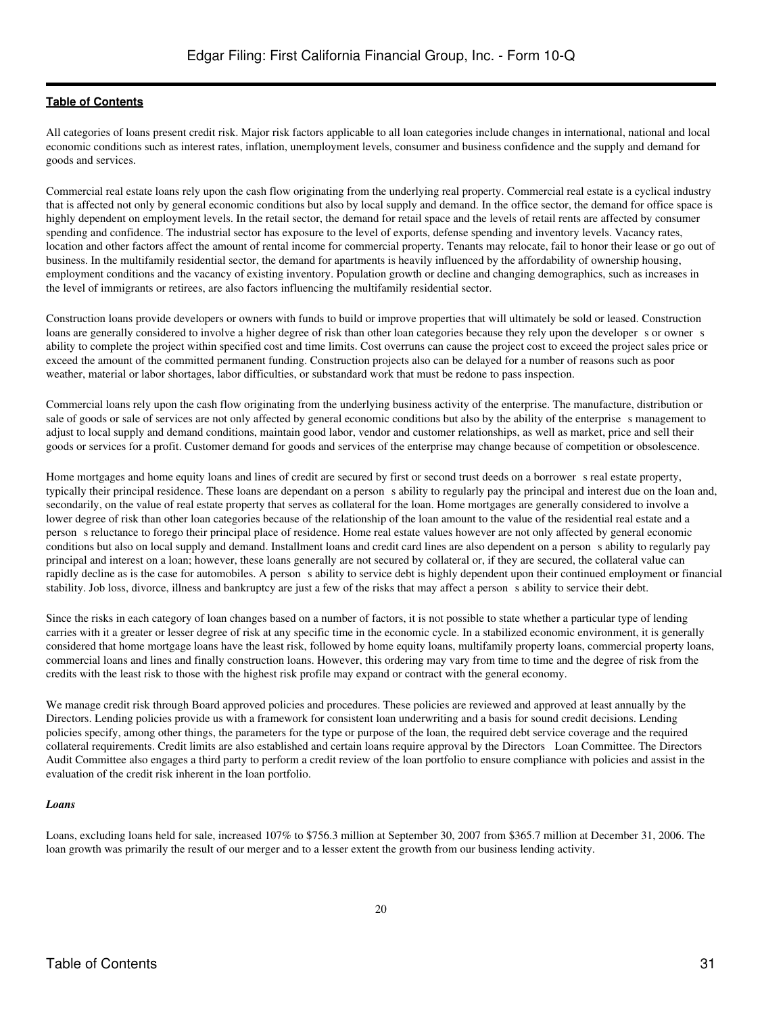All categories of loans present credit risk. Major risk factors applicable to all loan categories include changes in international, national and local economic conditions such as interest rates, inflation, unemployment levels, consumer and business confidence and the supply and demand for goods and services.

Commercial real estate loans rely upon the cash flow originating from the underlying real property. Commercial real estate is a cyclical industry that is affected not only by general economic conditions but also by local supply and demand. In the office sector, the demand for office space is highly dependent on employment levels. In the retail sector, the demand for retail space and the levels of retail rents are affected by consumer spending and confidence. The industrial sector has exposure to the level of exports, defense spending and inventory levels. Vacancy rates, location and other factors affect the amount of rental income for commercial property. Tenants may relocate, fail to honor their lease or go out of business. In the multifamily residential sector, the demand for apartments is heavily influenced by the affordability of ownership housing, employment conditions and the vacancy of existing inventory. Population growth or decline and changing demographics, such as increases in the level of immigrants or retirees, are also factors influencing the multifamily residential sector.

Construction loans provide developers or owners with funds to build or improve properties that will ultimately be sold or leased. Construction loans are generally considered to involve a higher degree of risk than other loan categories because they rely upon the developer s or owner s ability to complete the project within specified cost and time limits. Cost overruns can cause the project cost to exceed the project sales price or exceed the amount of the committed permanent funding. Construction projects also can be delayed for a number of reasons such as poor weather, material or labor shortages, labor difficulties, or substandard work that must be redone to pass inspection.

Commercial loans rely upon the cash flow originating from the underlying business activity of the enterprise. The manufacture, distribution or sale of goods or sale of services are not only affected by general economic conditions but also by the ability of the enterprises management to adjust to local supply and demand conditions, maintain good labor, vendor and customer relationships, as well as market, price and sell their goods or services for a profit. Customer demand for goods and services of the enterprise may change because of competition or obsolescence.

Home mortgages and home equity loans and lines of credit are secured by first or second trust deeds on a borrower s real estate property, typically their principal residence. These loans are dependant on a person s ability to regularly pay the principal and interest due on the loan and, secondarily, on the value of real estate property that serves as collateral for the loan. Home mortgages are generally considered to involve a lower degree of risk than other loan categories because of the relationship of the loan amount to the value of the residential real estate and a persons reluctance to forego their principal place of residence. Home real estate values however are not only affected by general economic conditions but also on local supply and demand. Installment loans and credit card lines are also dependent on a person s ability to regularly pay principal and interest on a loan; however, these loans generally are not secured by collateral or, if they are secured, the collateral value can rapidly decline as is the case for automobiles. A person s ability to service debt is highly dependent upon their continued employment or financial stability. Job loss, divorce, illness and bankruptcy are just a few of the risks that may affect a persons ability to service their debt.

Since the risks in each category of loan changes based on a number of factors, it is not possible to state whether a particular type of lending carries with it a greater or lesser degree of risk at any specific time in the economic cycle. In a stabilized economic environment, it is generally considered that home mortgage loans have the least risk, followed by home equity loans, multifamily property loans, commercial property loans, commercial loans and lines and finally construction loans. However, this ordering may vary from time to time and the degree of risk from the credits with the least risk to those with the highest risk profile may expand or contract with the general economy.

We manage credit risk through Board approved policies and procedures. These policies are reviewed and approved at least annually by the Directors. Lending policies provide us with a framework for consistent loan underwriting and a basis for sound credit decisions. Lending policies specify, among other things, the parameters for the type or purpose of the loan, the required debt service coverage and the required collateral requirements. Credit limits are also established and certain loans require approval by the Directors Loan Committee. The Directors Audit Committee also engages a third party to perform a credit review of the loan portfolio to ensure compliance with policies and assist in the evaluation of the credit risk inherent in the loan portfolio.

#### *Loans*

Loans, excluding loans held for sale, increased 107% to \$756.3 million at September 30, 2007 from \$365.7 million at December 31, 2006. The loan growth was primarily the result of our merger and to a lesser extent the growth from our business lending activity.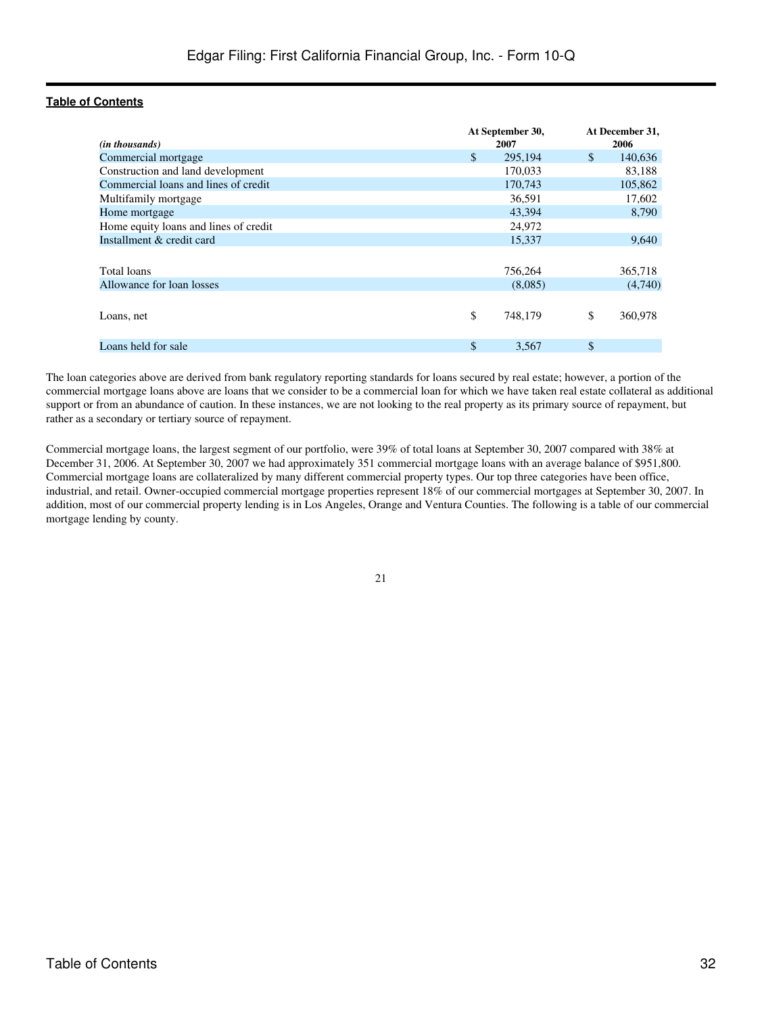|                                       |    | At September 30, | At December 31, |  |  |
|---------------------------------------|----|------------------|-----------------|--|--|
| ( <i>in thousands</i> )               |    | 2007             | 2006            |  |  |
| Commercial mortgage                   | \$ | 295,194          | \$<br>140,636   |  |  |
| Construction and land development     |    | 170,033          | 83,188          |  |  |
| Commercial loans and lines of credit  |    | 170,743          | 105,862         |  |  |
| Multifamily mortgage                  |    | 36,591           | 17,602          |  |  |
| Home mortgage                         |    | 43,394           | 8,790           |  |  |
| Home equity loans and lines of credit |    | 24,972           |                 |  |  |
| Installment & credit card             |    | 15,337           | 9,640           |  |  |
|                                       |    |                  |                 |  |  |
| Total loans                           |    | 756,264          | 365,718         |  |  |
| Allowance for loan losses             |    | (8,085)          | (4,740)         |  |  |
|                                       |    |                  |                 |  |  |
| Loans, net                            | \$ | 748,179          | \$<br>360,978   |  |  |
|                                       |    |                  |                 |  |  |
| Loans held for sale                   | \$ | 3,567            | \$              |  |  |

The loan categories above are derived from bank regulatory reporting standards for loans secured by real estate; however, a portion of the commercial mortgage loans above are loans that we consider to be a commercial loan for which we have taken real estate collateral as additional support or from an abundance of caution. In these instances, we are not looking to the real property as its primary source of repayment, but rather as a secondary or tertiary source of repayment.

Commercial mortgage loans, the largest segment of our portfolio, were 39% of total loans at September 30, 2007 compared with 38% at December 31, 2006. At September 30, 2007 we had approximately 351 commercial mortgage loans with an average balance of \$951,800. Commercial mortgage loans are collateralized by many different commercial property types. Our top three categories have been office, industrial, and retail. Owner-occupied commercial mortgage properties represent 18% of our commercial mortgages at September 30, 2007. In addition, most of our commercial property lending is in Los Angeles, Orange and Ventura Counties. The following is a table of our commercial mortgage lending by county.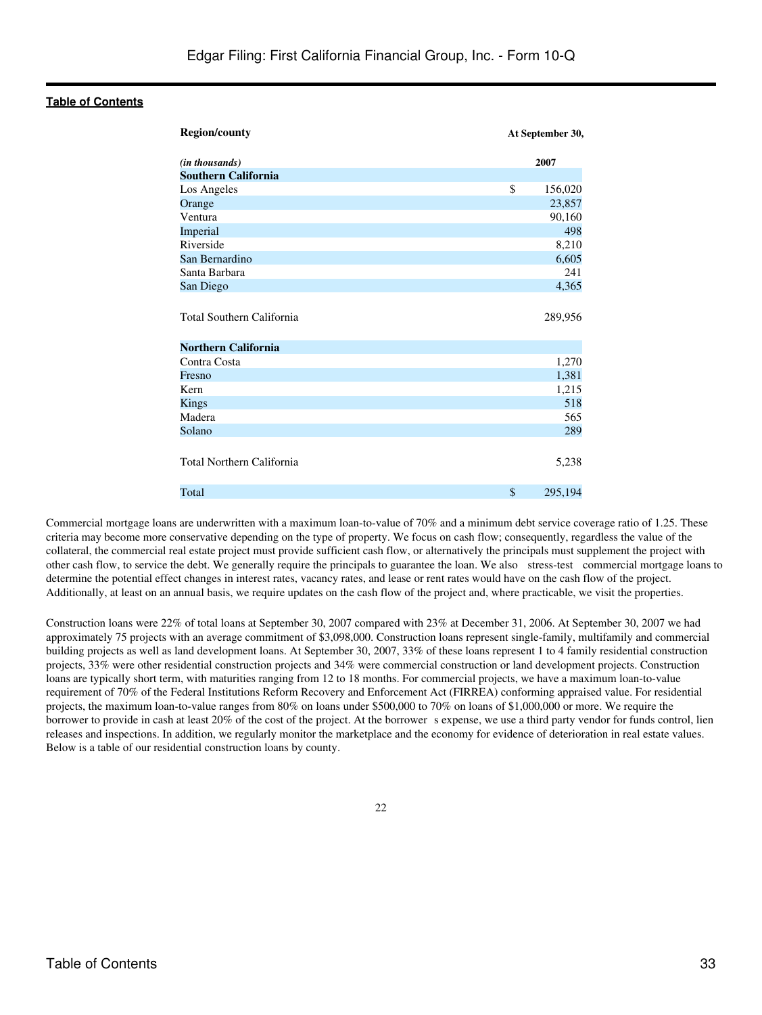| <b>Region/county</b>                                           | At September 30, |
|----------------------------------------------------------------|------------------|
| (in thousands)                                                 | 2007             |
| <b>Southern California</b>                                     |                  |
| Los Angeles                                                    | \$<br>156,020    |
| Orange                                                         | 23,857           |
| Ventura                                                        | 90,160           |
| Imperial                                                       | 498              |
| Riverside                                                      | 8,210            |
| San Bernardino                                                 | 6,605            |
| Santa Barbara                                                  | 241              |
| San Diego                                                      | 4,365            |
| <b>Total Southern California</b><br><b>Northern California</b> | 289,956          |
| Contra Costa                                                   | 1,270            |
| Fresno                                                         | 1,381            |
| Kern                                                           | 1,215            |
| Kings                                                          | 518              |
| Madera                                                         | 565              |
| Solano                                                         | 289              |
| Total Northern California                                      | 5,238            |
| Total                                                          | \$<br>295,194    |

Commercial mortgage loans are underwritten with a maximum loan-to-value of 70% and a minimum debt service coverage ratio of 1.25. These criteria may become more conservative depending on the type of property. We focus on cash flow; consequently, regardless the value of the collateral, the commercial real estate project must provide sufficient cash flow, or alternatively the principals must supplement the project with other cash flow, to service the debt. We generally require the principals to guarantee the loan. We also stress-test commercial mortgage loans to determine the potential effect changes in interest rates, vacancy rates, and lease or rent rates would have on the cash flow of the project. Additionally, at least on an annual basis, we require updates on the cash flow of the project and, where practicable, we visit the properties.

Construction loans were 22% of total loans at September 30, 2007 compared with 23% at December 31, 2006. At September 30, 2007 we had approximately 75 projects with an average commitment of \$3,098,000. Construction loans represent single-family, multifamily and commercial building projects as well as land development loans. At September 30, 2007, 33% of these loans represent 1 to 4 family residential construction projects, 33% were other residential construction projects and 34% were commercial construction or land development projects. Construction loans are typically short term, with maturities ranging from 12 to 18 months. For commercial projects, we have a maximum loan-to-value requirement of 70% of the Federal Institutions Reform Recovery and Enforcement Act (FIRREA) conforming appraised value. For residential projects, the maximum loan-to-value ranges from 80% on loans under \$500,000 to 70% on loans of \$1,000,000 or more. We require the borrower to provide in cash at least 20% of the cost of the project. At the borrower s expense, we use a third party vendor for funds control, lien releases and inspections. In addition, we regularly monitor the marketplace and the economy for evidence of deterioration in real estate values. Below is a table of our residential construction loans by county.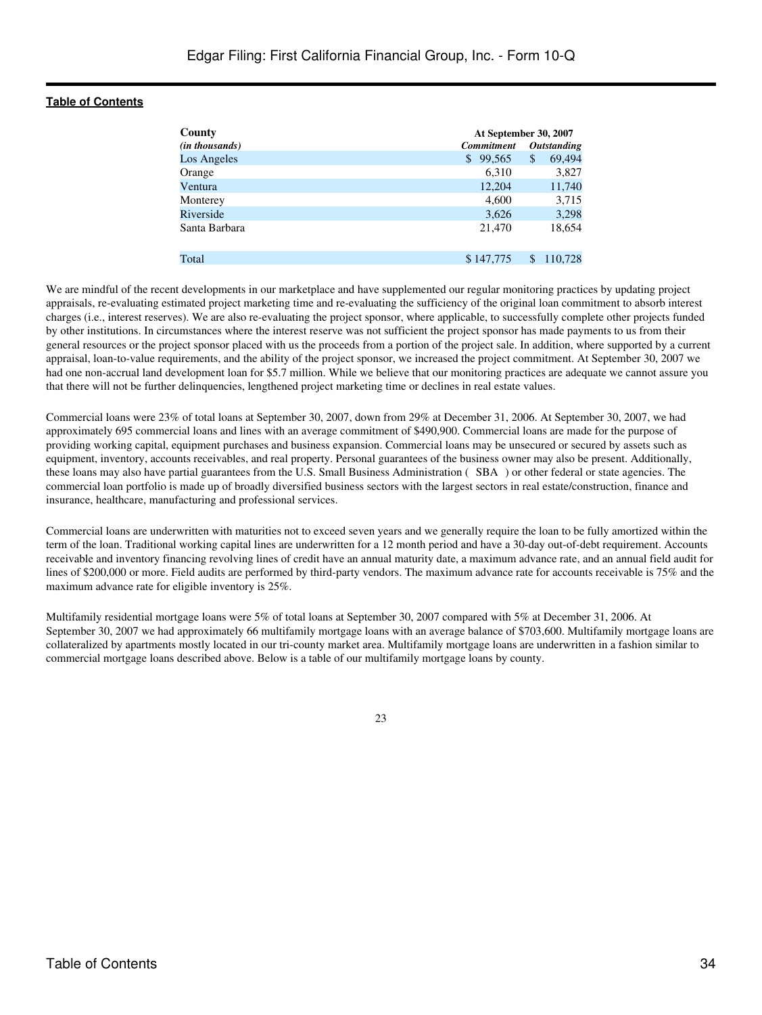| County         | At September 30, 2007   |                    |  |
|----------------|-------------------------|--------------------|--|
| (in thousands) | <b>Commitment</b>       | <b>Outstanding</b> |  |
| Los Angeles    | 99,565<br><sup>\$</sup> | 69,494<br>\$       |  |
| Orange         | 6,310                   | 3,827              |  |
| Ventura        | 12,204                  | 11,740             |  |
| Monterey       | 4,600                   | 3,715              |  |
| Riverside      | 3,626                   | 3,298              |  |
| Santa Barbara  | 21,470                  | 18,654             |  |
| Total          | \$147,775               | 110.728            |  |

We are mindful of the recent developments in our marketplace and have supplemented our regular monitoring practices by updating project appraisals, re-evaluating estimated project marketing time and re-evaluating the sufficiency of the original loan commitment to absorb interest charges (i.e., interest reserves). We are also re-evaluating the project sponsor, where applicable, to successfully complete other projects funded by other institutions. In circumstances where the interest reserve was not sufficient the project sponsor has made payments to us from their general resources or the project sponsor placed with us the proceeds from a portion of the project sale. In addition, where supported by a current appraisal, loan-to-value requirements, and the ability of the project sponsor, we increased the project commitment. At September 30, 2007 we had one non-accrual land development loan for \$5.7 million. While we believe that our monitoring practices are adequate we cannot assure you that there will not be further delinquencies, lengthened project marketing time or declines in real estate values.

Commercial loans were 23% of total loans at September 30, 2007, down from 29% at December 31, 2006. At September 30, 2007, we had approximately 695 commercial loans and lines with an average commitment of \$490,900. Commercial loans are made for the purpose of providing working capital, equipment purchases and business expansion. Commercial loans may be unsecured or secured by assets such as equipment, inventory, accounts receivables, and real property. Personal guarantees of the business owner may also be present. Additionally, these loans may also have partial guarantees from the U.S. Small Business Administration (SBA) or other federal or state agencies. The commercial loan portfolio is made up of broadly diversified business sectors with the largest sectors in real estate/construction, finance and insurance, healthcare, manufacturing and professional services.

Commercial loans are underwritten with maturities not to exceed seven years and we generally require the loan to be fully amortized within the term of the loan. Traditional working capital lines are underwritten for a 12 month period and have a 30-day out-of-debt requirement. Accounts receivable and inventory financing revolving lines of credit have an annual maturity date, a maximum advance rate, and an annual field audit for lines of \$200,000 or more. Field audits are performed by third-party vendors. The maximum advance rate for accounts receivable is 75% and the maximum advance rate for eligible inventory is 25%.

Multifamily residential mortgage loans were 5% of total loans at September 30, 2007 compared with 5% at December 31, 2006. At September 30, 2007 we had approximately 66 multifamily mortgage loans with an average balance of \$703,600. Multifamily mortgage loans are collateralized by apartments mostly located in our tri-county market area. Multifamily mortgage loans are underwritten in a fashion similar to commercial mortgage loans described above. Below is a table of our multifamily mortgage loans by county.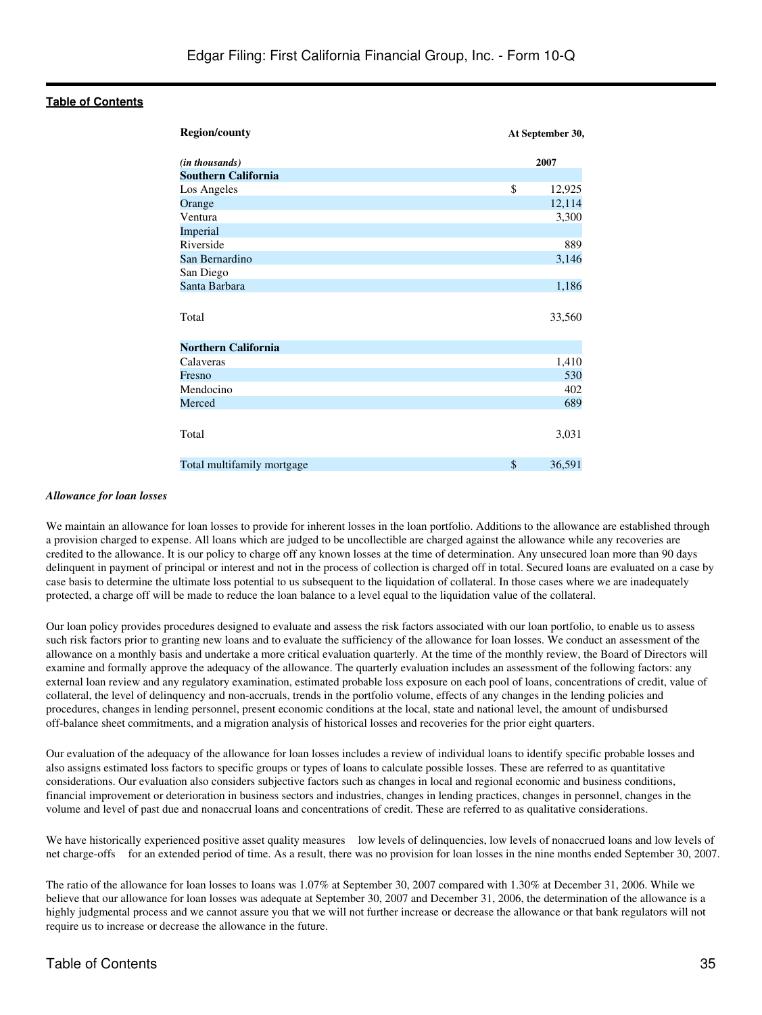| <b>Region/county</b>       | At September 30, |
|----------------------------|------------------|
| (in thousands)             | 2007             |
| <b>Southern California</b> |                  |
| Los Angeles                | \$<br>12,925     |
| Orange                     | 12,114           |
| Ventura                    | 3,300            |
| Imperial                   |                  |
| Riverside                  | 889              |
| San Bernardino             | 3,146            |
| San Diego                  |                  |
| Santa Barbara              | 1,186            |
| Total                      | 33,560           |
| <b>Northern California</b> |                  |
| Calaveras                  | 1,410            |
| Fresno                     | 530              |
| Mendocino                  | 402              |
| Merced                     | 689              |
| Total                      | 3,031            |
| Total multifamily mortgage | \$<br>36,591     |

#### *Allowance for loan losses*

We maintain an allowance for loan losses to provide for inherent losses in the loan portfolio. Additions to the allowance are established through a provision charged to expense. All loans which are judged to be uncollectible are charged against the allowance while any recoveries are credited to the allowance. It is our policy to charge off any known losses at the time of determination. Any unsecured loan more than 90 days delinquent in payment of principal or interest and not in the process of collection is charged off in total. Secured loans are evaluated on a case by case basis to determine the ultimate loss potential to us subsequent to the liquidation of collateral. In those cases where we are inadequately protected, a charge off will be made to reduce the loan balance to a level equal to the liquidation value of the collateral.

Our loan policy provides procedures designed to evaluate and assess the risk factors associated with our loan portfolio, to enable us to assess such risk factors prior to granting new loans and to evaluate the sufficiency of the allowance for loan losses. We conduct an assessment of the allowance on a monthly basis and undertake a more critical evaluation quarterly. At the time of the monthly review, the Board of Directors will examine and formally approve the adequacy of the allowance. The quarterly evaluation includes an assessment of the following factors: any external loan review and any regulatory examination, estimated probable loss exposure on each pool of loans, concentrations of credit, value of collateral, the level of delinquency and non-accruals, trends in the portfolio volume, effects of any changes in the lending policies and procedures, changes in lending personnel, present economic conditions at the local, state and national level, the amount of undisbursed off-balance sheet commitments, and a migration analysis of historical losses and recoveries for the prior eight quarters.

Our evaluation of the adequacy of the allowance for loan losses includes a review of individual loans to identify specific probable losses and also assigns estimated loss factors to specific groups or types of loans to calculate possible losses. These are referred to as quantitative considerations. Our evaluation also considers subjective factors such as changes in local and regional economic and business conditions, financial improvement or deterioration in business sectors and industries, changes in lending practices, changes in personnel, changes in the volume and level of past due and nonaccrual loans and concentrations of credit. These are referred to as qualitative considerations.

We have historically experienced positive asset quality measures low levels of delinquencies, low levels of nonaccrued loans and low levels of net charge-offs for an extended period of time. As a result, there was no provision for loan losses in the nine months ended September 30, 2007.

The ratio of the allowance for loan losses to loans was 1.07% at September 30, 2007 compared with 1.30% at December 31, 2006. While we believe that our allowance for loan losses was adequate at September 30, 2007 and December 31, 2006, the determination of the allowance is a highly judgmental process and we cannot assure you that we will not further increase or decrease the allowance or that bank regulators will not require us to increase or decrease the allowance in the future.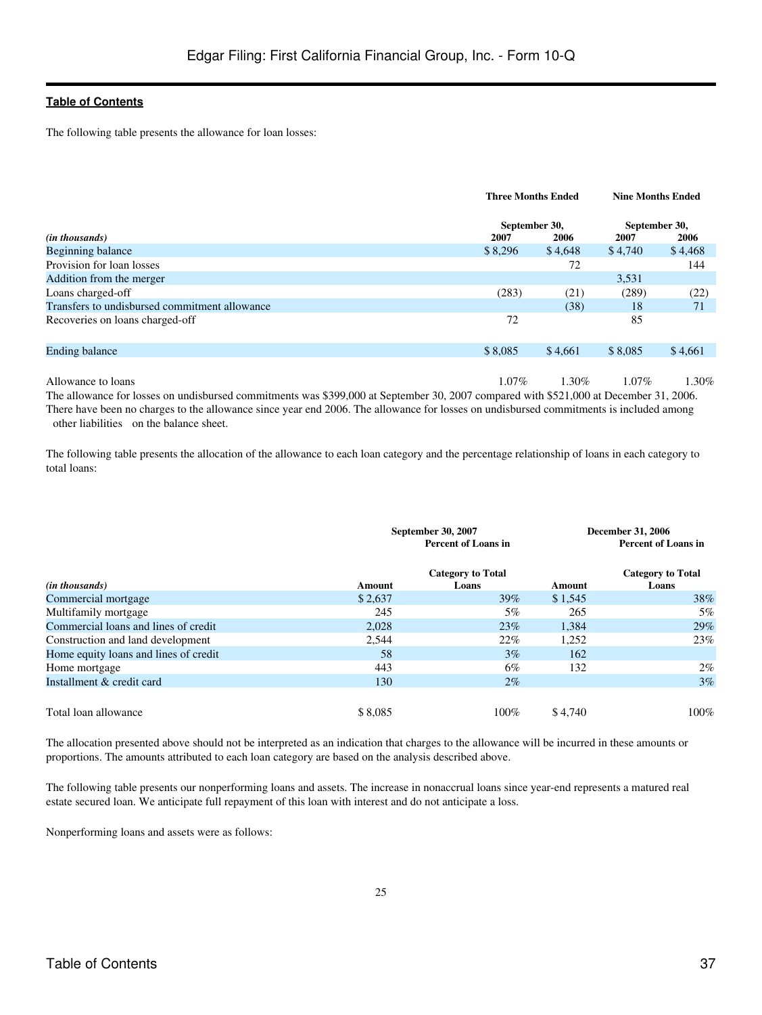The following table presents the allowance for loan losses:

|                                               |                 | <b>Three Months Ended</b> |                 | <b>Nine Months Ended</b> |
|-----------------------------------------------|-----------------|---------------------------|-----------------|--------------------------|
|                                               | September 30,   |                           | September 30,   |                          |
| ( <i>in thousands</i> )<br>Beginning balance  | 2007<br>\$8,296 | 2006<br>\$4,648           | 2007<br>\$4,740 | 2006<br>\$4,468          |
| Provision for loan losses                     |                 | 72                        |                 | 144                      |
| Addition from the merger                      |                 |                           | 3,531           |                          |
| Loans charged-off                             | (283)           | (21)                      | (289)           | (22)                     |
| Transfers to undisbursed commitment allowance |                 | (38)                      | 18              | 71                       |
| Recoveries on loans charged-off               | 72              |                           | 85              |                          |
| <b>Ending balance</b>                         | \$8,085         | \$4,661                   | \$8,085         | \$4,661                  |
|                                               |                 |                           |                 |                          |
| Allowance to loans                            | $1.07\%$        | $1.30\%$                  | $1.07\%$        | $1.30\%$                 |

The allowance for losses on undisbursed commitments was \$399,000 at September 30, 2007 compared with \$521,000 at December 31, 2006. There have been no charges to the allowance since year end 2006. The allowance for losses on undisbursed commitments is included among other liabilities on the balance sheet.

The following table presents the allocation of the allowance to each loan category and the percentage relationship of loans in each category to total loans:

|                                       | <b>September 30, 2007</b><br><b>Percent of Loans in</b> |                          |         | <b>December 31, 2006</b><br><b>Percent of Loans in</b> |
|---------------------------------------|---------------------------------------------------------|--------------------------|---------|--------------------------------------------------------|
|                                       |                                                         | <b>Category to Total</b> |         | <b>Category to Total</b>                               |
| ( <i>in thousands</i> )               | Amount                                                  | Loans                    | Amount  | Loans                                                  |
| Commercial mortgage                   | \$2,637                                                 | $39\%$                   | \$1,545 | 38%                                                    |
| Multifamily mortgage                  | 245                                                     | 5%                       | 265     | 5%                                                     |
| Commercial loans and lines of credit  | 2,028                                                   | 23%                      | 1,384   | 29%                                                    |
| Construction and land development     | 2,544                                                   | 22%                      | 1,252   | 23%                                                    |
| Home equity loans and lines of credit | 58                                                      | $3\%$                    | 162     |                                                        |
| Home mortgage                         | 443                                                     | 6%                       | 132     | $2\%$                                                  |
| Installment & credit card             | 130                                                     | $2\%$                    |         | 3%                                                     |
| Total loan allowance                  | \$8,085                                                 | $100\%$                  | \$4,740 | 100%                                                   |

The allocation presented above should not be interpreted as an indication that charges to the allowance will be incurred in these amounts or proportions. The amounts attributed to each loan category are based on the analysis described above.

The following table presents our nonperforming loans and assets. The increase in nonaccrual loans since year-end represents a matured real estate secured loan. We anticipate full repayment of this loan with interest and do not anticipate a loss.

Nonperforming loans and assets were as follows: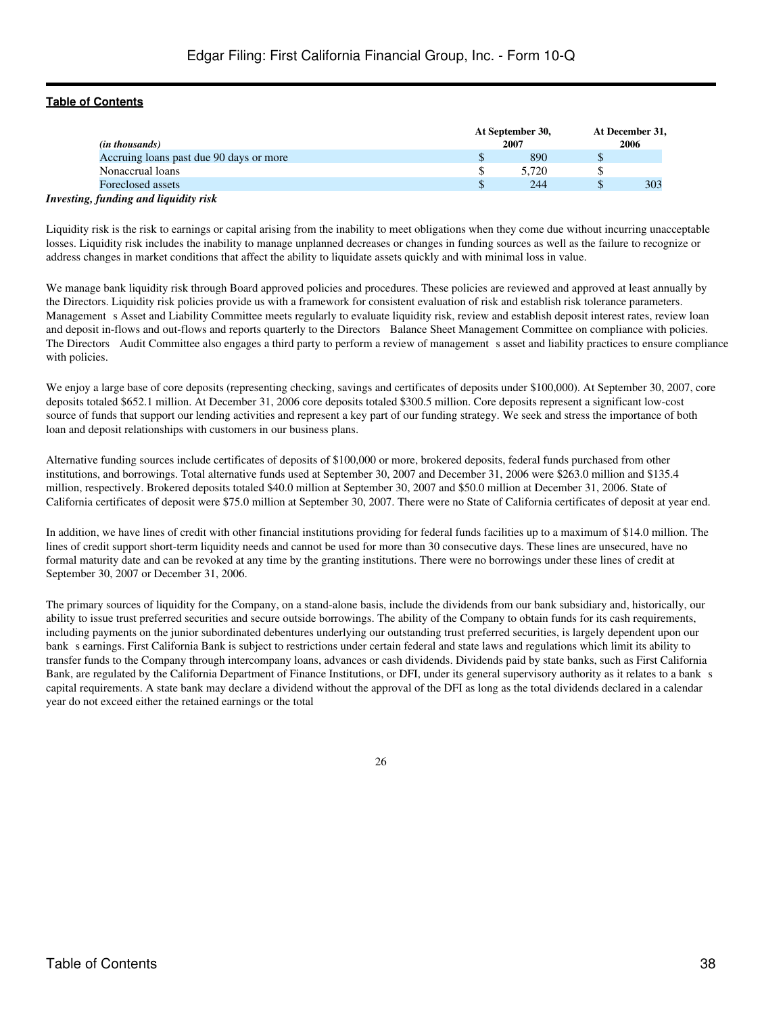| ( <i>in thousands</i> )                 |   | At September 30,<br>2007 | At December 31,<br>2006 |
|-----------------------------------------|---|--------------------------|-------------------------|
| Accruing loans past due 90 days or more | J | 890                      |                         |
| Nonaccrual loans                        |   | 5.720                    |                         |
| Foreclosed assets                       |   | 244                      | 303                     |
| Investing, funding and liquidity risk   |   |                          |                         |

# Liquidity risk is the risk to earnings or capital arising from the inability to meet obligations when they come due without incurring unacceptable losses. Liquidity risk includes the inability to manage unplanned decreases or changes in funding sources as well as the failure to recognize or

address changes in market conditions that affect the ability to liquidate assets quickly and with minimal loss in value.

We manage bank liquidity risk through Board approved policies and procedures. These policies are reviewed and approved at least annually by the Directors. Liquidity risk policies provide us with a framework for consistent evaluation of risk and establish risk tolerance parameters. Management s Asset and Liability Committee meets regularly to evaluate liquidity risk, review and establish deposit interest rates, review loan and deposit in-flows and out-flows and reports quarterly to the Directors Balance Sheet Management Committee on compliance with policies. The Directors Audit Committee also engages a third party to perform a review of management s asset and liability practices to ensure compliance with policies.

We enjoy a large base of core deposits (representing checking, savings and certificates of deposits under \$100,000). At September 30, 2007, core deposits totaled \$652.1 million. At December 31, 2006 core deposits totaled \$300.5 million. Core deposits represent a significant low-cost source of funds that support our lending activities and represent a key part of our funding strategy. We seek and stress the importance of both loan and deposit relationships with customers in our business plans.

Alternative funding sources include certificates of deposits of \$100,000 or more, brokered deposits, federal funds purchased from other institutions, and borrowings. Total alternative funds used at September 30, 2007 and December 31, 2006 were \$263.0 million and \$135.4 million, respectively. Brokered deposits totaled \$40.0 million at September 30, 2007 and \$50.0 million at December 31, 2006. State of California certificates of deposit were \$75.0 million at September 30, 2007. There were no State of California certificates of deposit at year end.

In addition, we have lines of credit with other financial institutions providing for federal funds facilities up to a maximum of \$14.0 million. The lines of credit support short-term liquidity needs and cannot be used for more than 30 consecutive days. These lines are unsecured, have no formal maturity date and can be revoked at any time by the granting institutions. There were no borrowings under these lines of credit at September 30, 2007 or December 31, 2006.

The primary sources of liquidity for the Company, on a stand-alone basis, include the dividends from our bank subsidiary and, historically, our ability to issue trust preferred securities and secure outside borrowings. The ability of the Company to obtain funds for its cash requirements, including payments on the junior subordinated debentures underlying our outstanding trust preferred securities, is largely dependent upon our bank s earnings. First California Bank is subject to restrictions under certain federal and state laws and regulations which limit its ability to transfer funds to the Company through intercompany loans, advances or cash dividends. Dividends paid by state banks, such as First California Bank, are regulated by the California Department of Finance Institutions, or DFI, under its general supervisory authority as it relates to a bank s capital requirements. A state bank may declare a dividend without the approval of the DFI as long as the total dividends declared in a calendar year do not exceed either the retained earnings or the total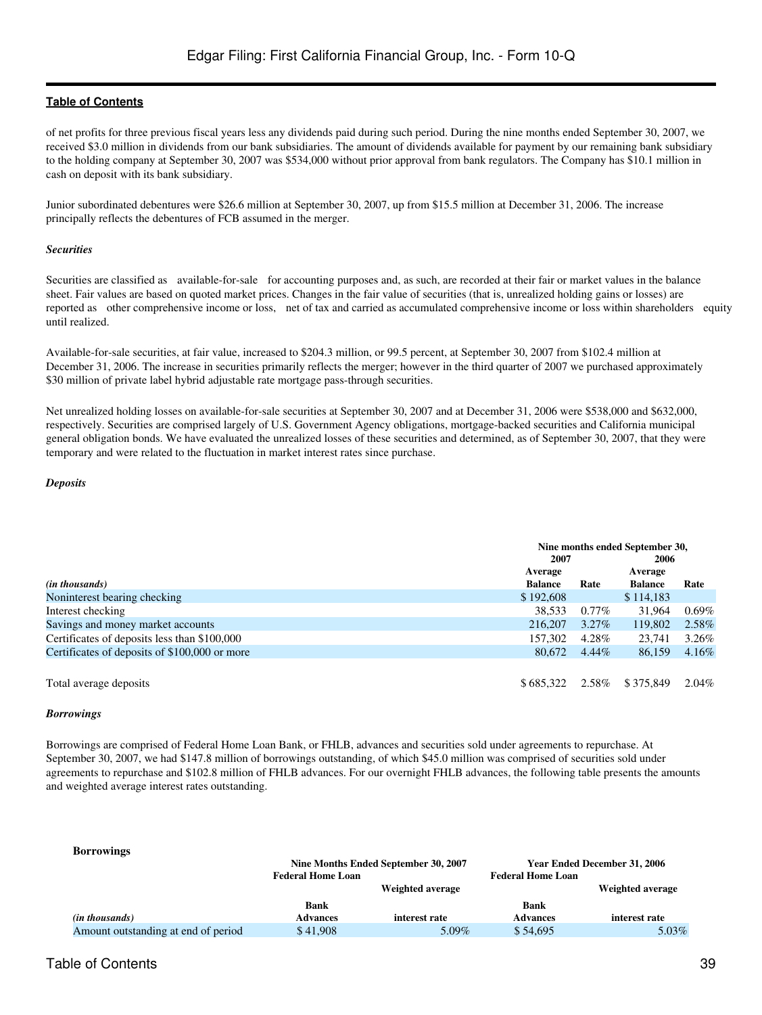of net profits for three previous fiscal years less any dividends paid during such period. During the nine months ended September 30, 2007, we received \$3.0 million in dividends from our bank subsidiaries. The amount of dividends available for payment by our remaining bank subsidiary to the holding company at September 30, 2007 was \$534,000 without prior approval from bank regulators. The Company has \$10.1 million in cash on deposit with its bank subsidiary.

Junior subordinated debentures were \$26.6 million at September 30, 2007, up from \$15.5 million at December 31, 2006. The increase principally reflects the debentures of FCB assumed in the merger.

#### *Securities*

Securities are classified as available-for-sale for accounting purposes and, as such, are recorded at their fair or market values in the balance sheet. Fair values are based on quoted market prices. Changes in the fair value of securities (that is, unrealized holding gains or losses) are reported as other comprehensive income or loss, net of tax and carried as accumulated comprehensive income or loss within shareholders equity until realized.

Available-for-sale securities, at fair value, increased to \$204.3 million, or 99.5 percent, at September 30, 2007 from \$102.4 million at December 31, 2006. The increase in securities primarily reflects the merger; however in the third quarter of 2007 we purchased approximately \$30 million of private label hybrid adjustable rate mortgage pass-through securities.

Net unrealized holding losses on available-for-sale securities at September 30, 2007 and at December 31, 2006 were \$538,000 and \$632,000, respectively. Securities are comprised largely of U.S. Government Agency obligations, mortgage-backed securities and California municipal general obligation bonds. We have evaluated the unrealized losses of these securities and determined, as of September 30, 2007, that they were temporary and were related to the fluctuation in market interest rates since purchase.

#### *Deposits*

|                                               | Nine months ended September 30, |          |                |          |
|-----------------------------------------------|---------------------------------|----------|----------------|----------|
|                                               | 2007<br>2006                    |          |                |          |
|                                               | Average                         |          | Average        |          |
| ( <i>in thousands</i> )                       | <b>Balance</b>                  | Rate     | <b>Balance</b> | Rate     |
| Noninterest bearing checking                  | \$192,608                       |          | \$114,183      |          |
| Interest checking                             | 38,533                          | $0.77\%$ | 31,964         | $0.69\%$ |
| Savings and money market accounts             | 216,207                         | $3.27\%$ | 119,802        | 2.58%    |
| Certificates of deposits less than \$100,000  | 157,302                         | 4.28%    | 23.741         | 3.26%    |
| Certificates of deposits of \$100,000 or more | 80.672                          | $4.44\%$ | 86,159         | 4.16%    |
|                                               |                                 |          |                |          |
| Total average deposits                        | \$685,322                       | 2.58%    | \$375,849      | 2.04%    |

#### *Borrowings*

Borrowings are comprised of Federal Home Loan Bank, or FHLB, advances and securities sold under agreements to repurchase. At September 30, 2007, we had \$147.8 million of borrowings outstanding, of which \$45.0 million was comprised of securities sold under agreements to repurchase and \$102.8 million of FHLB advances. For our overnight FHLB advances, the following table presents the amounts and weighted average interest rates outstanding.

| <b>Borrowings</b>                   |                          |                                      |                          |                              |
|-------------------------------------|--------------------------|--------------------------------------|--------------------------|------------------------------|
|                                     |                          | Nine Months Ended September 30, 2007 |                          | Year Ended December 31, 2006 |
|                                     | <b>Federal Home Loan</b> |                                      | <b>Federal Home Loan</b> |                              |
|                                     |                          | Weighted average                     |                          | Weighted average             |
|                                     | <b>Bank</b>              |                                      | Bank                     |                              |
| ( <i>in thousands</i> )             | <b>Advances</b>          | interest rate                        | <b>Advances</b>          | interest rate                |
| Amount outstanding at end of period | \$41,908                 | 5.09%                                | \$54,695                 | $5.03\%$                     |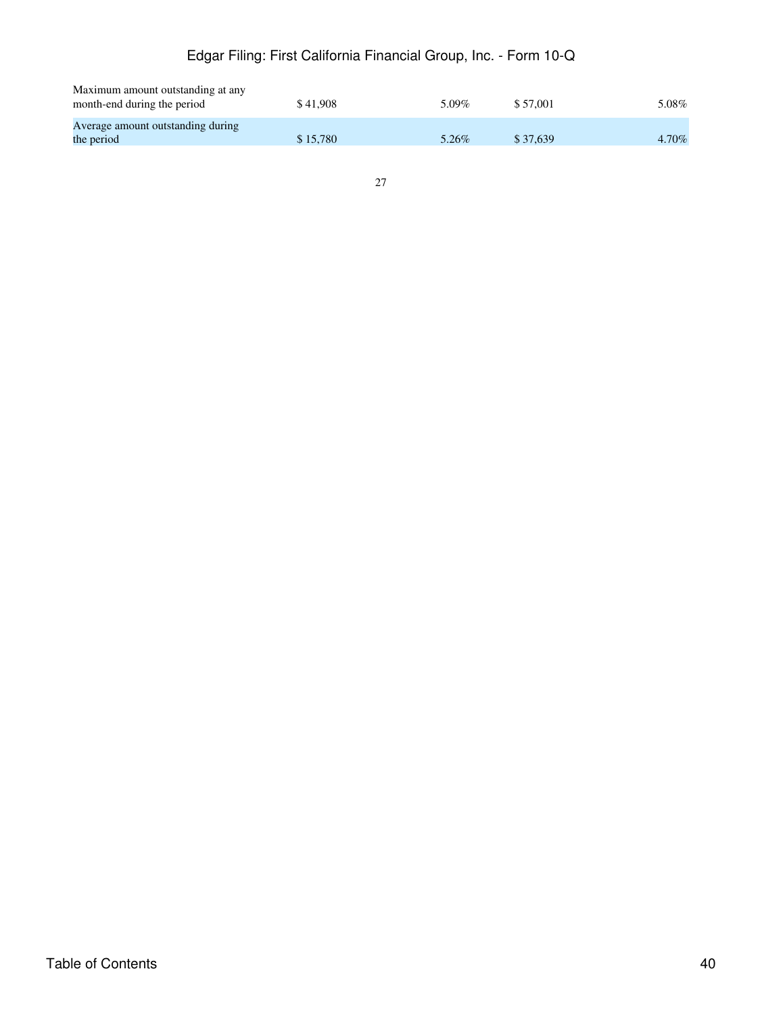# Edgar Filing: First California Financial Group, Inc. - Form 10-Q

| Maximum amount outstanding at any |          |          |          |          |
|-----------------------------------|----------|----------|----------|----------|
| month-end during the period       | \$41.908 | 5.09%    | \$57,001 | $5.08\%$ |
|                                   |          |          |          |          |
| Average amount outstanding during |          |          |          |          |
| the period                        | \$15,780 | $5.26\%$ | \$37,639 | 4.70%    |
|                                   |          |          |          |          |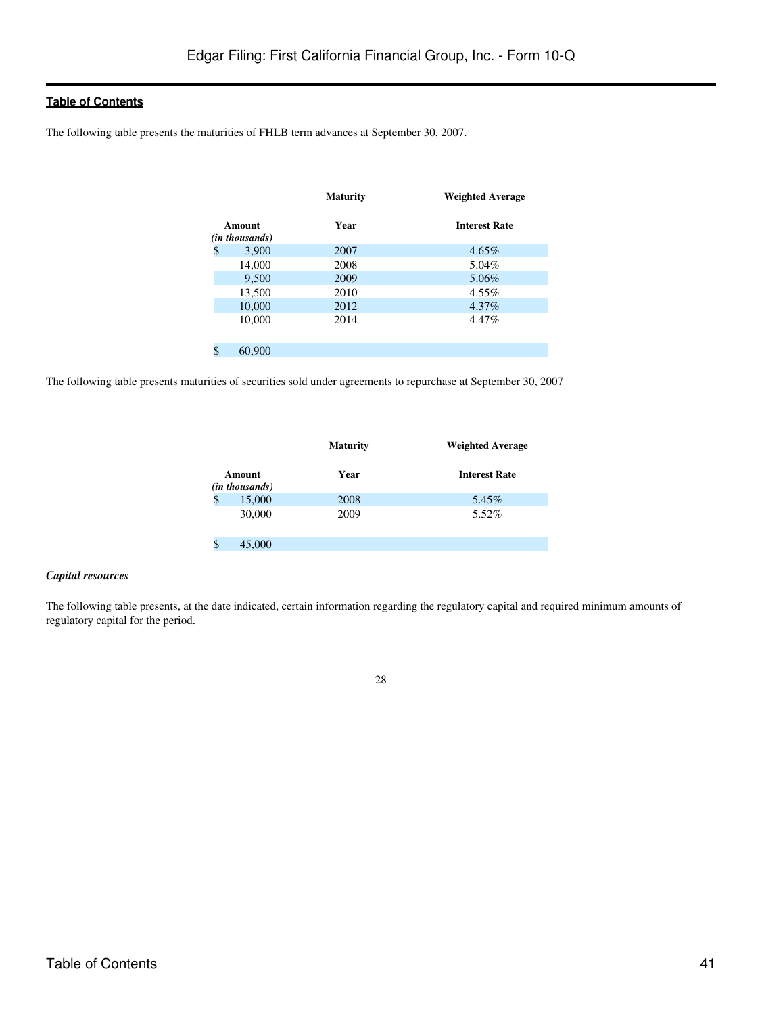The following table presents the maturities of FHLB term advances at September 30, 2007.

|                          | <b>Maturity</b> | <b>Weighted Average</b> |
|--------------------------|-----------------|-------------------------|
| Amount<br>(in thousands) | Year            | <b>Interest Rate</b>    |
| \$<br>3,900              | 2007            | $4.65\%$                |
| 14,000                   | 2008            | 5.04%                   |
| 9,500                    | 2009            | 5.06%                   |
| 13,500                   | 2010            | 4.55%                   |
| 10,000                   | 2012            | 4.37%                   |
| 10,000                   | 2014            | 4.47%                   |
|                          |                 |                         |
| \$<br>60,900             |                 |                         |

The following table presents maturities of securities sold under agreements to repurchase at September 30, 2007

|   |                                   | <b>Maturity</b> | <b>Weighted Average</b> |
|---|-----------------------------------|-----------------|-------------------------|
|   | Amount<br>( <i>in thousands</i> ) | Year            | <b>Interest Rate</b>    |
| S | 15,000                            | 2008            | 5.45%                   |
|   | 30,000                            | 2009            | 5.52%                   |
|   | 45,000                            |                 |                         |

#### *Capital resources*

The following table presents, at the date indicated, certain information regarding the regulatory capital and required minimum amounts of regulatory capital for the period.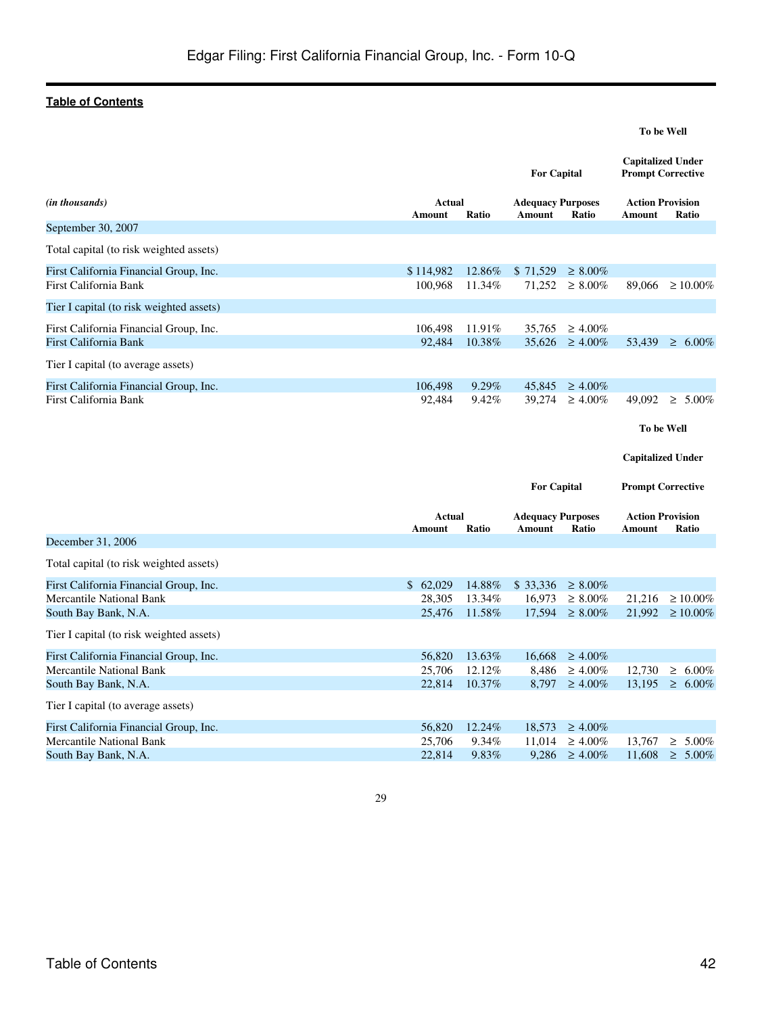|                                                                                                   |                              |                            | <b>For Capital</b>                        |                                                 | <b>Capitalized Under</b><br><b>Prompt Corrective</b> |                                        |
|---------------------------------------------------------------------------------------------------|------------------------------|----------------------------|-------------------------------------------|-------------------------------------------------|------------------------------------------------------|----------------------------------------|
| (in thousands)                                                                                    | Actual<br>Amount             | Ratio                      | <b>Adequacy Purposes</b><br><b>Amount</b> | Ratio                                           | <b>Action Provision</b><br>Amount                    | Ratio                                  |
| September 30, 2007                                                                                |                              |                            |                                           |                                                 |                                                      |                                        |
| Total capital (to risk weighted assets)                                                           |                              |                            |                                           |                                                 |                                                      |                                        |
| First California Financial Group, Inc.<br>First California Bank                                   | \$114,982<br>100,968         | 12.86%<br>11.34%           | \$71,529<br>71,252                        | $\geq 8.00\%$<br>$\geq 8.00\%$                  | 89,066                                               | $\geq 10.00\%$                         |
| Tier I capital (to risk weighted assets)                                                          |                              |                            |                                           |                                                 |                                                      |                                        |
| First California Financial Group, Inc.<br>First California Bank                                   | 106,498<br>92,484            | 11.91%<br>10.38%           | 35,765<br>35,626                          | $\geq 4.00\%$<br>$\geq 4.00\%$                  | 53,439                                               | $\geq 6.00\%$                          |
| Tier I capital (to average assets)                                                                |                              |                            |                                           |                                                 |                                                      |                                        |
| First California Financial Group, Inc.<br>First California Bank                                   | 106,498<br>92,484            | $9.29\%$<br>9.42%          | 45,845<br>39,274                          | $\geq 4.00\%$<br>$\geq 4.00\%$                  | 49,092<br>To be Well                                 | $\geq 5.00\%$                          |
|                                                                                                   |                              |                            | <b>For Capital</b>                        |                                                 | <b>Capitalized Under</b><br><b>Prompt Corrective</b> |                                        |
|                                                                                                   | Actual<br>Amount             | Ratio                      | <b>Adequacy Purposes</b><br>Amount        | Ratio                                           | <b>Action Provision</b><br>Amount                    | Ratio                                  |
| December 31, 2006                                                                                 |                              |                            |                                           |                                                 |                                                      |                                        |
| Total capital (to risk weighted assets)                                                           |                              |                            |                                           |                                                 |                                                      |                                        |
| First California Financial Group, Inc.<br>Mercantile National Bank<br>South Bay Bank, N.A.        | \$62,029<br>28,305<br>25,476 | 14.88%<br>13.34%<br>11.58% | \$ 33,336<br>16,973<br>17,594             | $\geq 8.00\%$<br>$\geq 8.00\%$<br>$\geq 8.00\%$ | 21,216                                               | $\geq 10.00\%$<br>$21,992 \ge 10.00\%$ |
| Tier I capital (to risk weighted assets)                                                          |                              |                            |                                           |                                                 |                                                      |                                        |
| First California Financial Group, Inc.<br><b>Mercantile National Bank</b><br>South Bay Bank, N.A. | 56,820<br>25,706<br>22,814   | 13.63%<br>12.12%<br>10.37% | 16,668<br>8,486<br>8,797                  | $\geq 4.00\%$<br>$\geq 4.00\%$<br>$\geq 4.00\%$ | 12,730<br>13,195                                     | $\geq 6.00\%$<br>$\geq 6.00\%$         |
| Tier I capital (to average assets)                                                                |                              |                            |                                           |                                                 |                                                      |                                        |
| First California Financial Group, Inc.<br><b>Mercantile National Bank</b><br>South Bay Bank, N.A. | 56,820<br>25,706<br>22,814   | 12.24%<br>9.34%<br>9.83%   | 18,573<br>11,014<br>9,286                 | $\geq 4.00\%$<br>$\geq 4.00\%$<br>$\geq 4.00\%$ | 13,767                                               | $\geq 5.00\%$<br>$11,608 \geq 5.00\%$  |



**To be Well**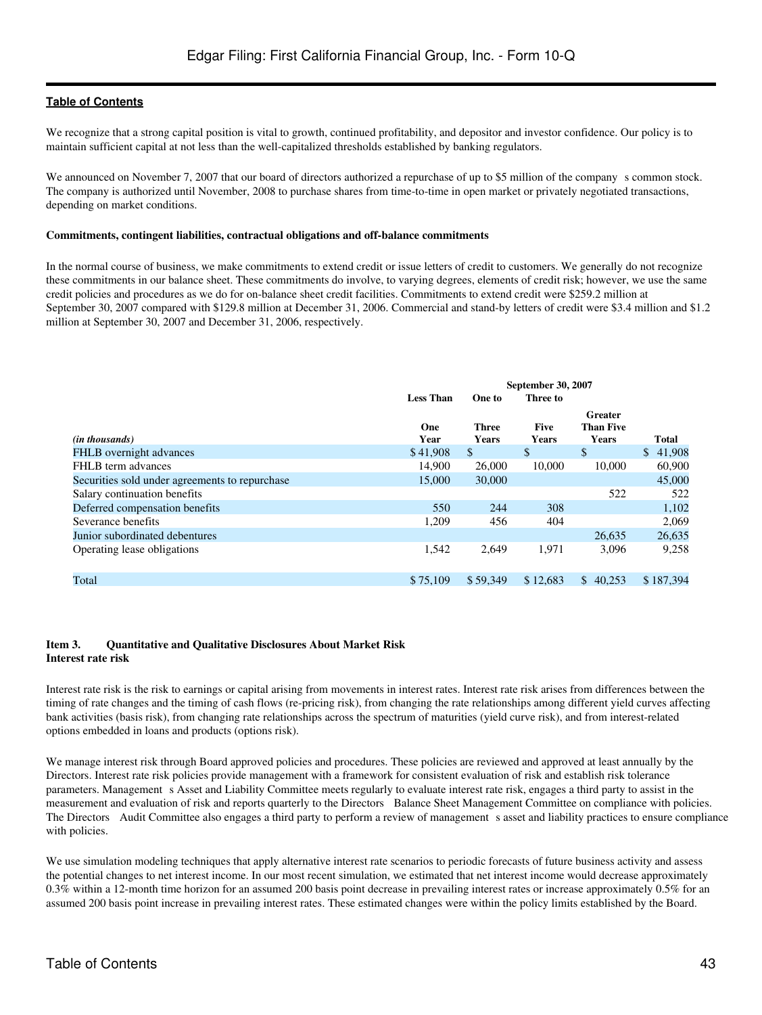We recognize that a strong capital position is vital to growth, continued profitability, and depositor and investor confidence. Our policy is to maintain sufficient capital at not less than the well-capitalized thresholds established by banking regulators.

We announced on November 7, 2007 that our board of directors authorized a repurchase of up to \$5 million of the company s common stock. The company is authorized until November, 2008 to purchase shares from time-to-time in open market or privately negotiated transactions, depending on market conditions.

#### **Commitments, contingent liabilities, contractual obligations and off-balance commitments**

In the normal course of business, we make commitments to extend credit or issue letters of credit to customers. We generally do not recognize these commitments in our balance sheet. These commitments do involve, to varying degrees, elements of credit risk; however, we use the same credit policies and procedures as we do for on-balance sheet credit facilities. Commitments to extend credit were \$259.2 million at September 30, 2007 compared with \$129.8 million at December 31, 2006. Commercial and stand-by letters of credit were \$3.4 million and \$1.2 million at September 30, 2007 and December 31, 2006, respectively.

|                                                | <b>September 30, 2007</b> |                |                      |                                             |              |
|------------------------------------------------|---------------------------|----------------|----------------------|---------------------------------------------|--------------|
|                                                | <b>Less Than</b>          | One to         | Three to             |                                             |              |
| ( <i>in thousands</i> )                        | One<br>Year               | Three<br>Years | <b>Five</b><br>Years | Greater<br><b>Than Five</b><br><b>Years</b> | <b>Total</b> |
| FHLB overnight advances                        | \$41,908                  | $\mathbb{S}$   | \$                   | $\mathbb{S}$                                | \$41,908     |
| FHLB term advances                             | 14,900                    | 26,000         | 10,000               | 10.000                                      | 60,900       |
| Securities sold under agreements to repurchase | 15,000                    | 30,000         |                      |                                             | 45,000       |
| Salary continuation benefits                   |                           |                |                      | 522                                         | 522          |
| Deferred compensation benefits                 | 550                       | 244            | 308                  |                                             | 1,102        |
| Severance benefits                             | 1,209                     | 456            | 404                  |                                             | 2,069        |
| Junior subordinated debentures                 |                           |                |                      | 26.635                                      | 26,635       |
| Operating lease obligations                    | 1,542                     | 2.649          | 1.971                | 3.096                                       | 9,258        |
| Total                                          | \$75,109                  | \$59,349       | \$12,683             | \$40,253                                    | \$187.394    |

#### <span id="page-42-0"></span>**Item 3. Quantitative and Qualitative Disclosures About Market Risk Interest rate risk**

Interest rate risk is the risk to earnings or capital arising from movements in interest rates. Interest rate risk arises from differences between the timing of rate changes and the timing of cash flows (re-pricing risk), from changing the rate relationships among different yield curves affecting bank activities (basis risk), from changing rate relationships across the spectrum of maturities (yield curve risk), and from interest-related options embedded in loans and products (options risk).

We manage interest risk through Board approved policies and procedures. These policies are reviewed and approved at least annually by the Directors. Interest rate risk policies provide management with a framework for consistent evaluation of risk and establish risk tolerance parameters. Management s Asset and Liability Committee meets regularly to evaluate interest rate risk, engages a third party to assist in the measurement and evaluation of risk and reports quarterly to the Directors Balance Sheet Management Committee on compliance with policies. The Directors Audit Committee also engages a third party to perform a review of management s asset and liability practices to ensure compliance with policies.

We use simulation modeling techniques that apply alternative interest rate scenarios to periodic forecasts of future business activity and assess the potential changes to net interest income. In our most recent simulation, we estimated that net interest income would decrease approximately 0.3% within a 12-month time horizon for an assumed 200 basis point decrease in prevailing interest rates or increase approximately 0.5% for an assumed 200 basis point increase in prevailing interest rates. These estimated changes were within the policy limits established by the Board.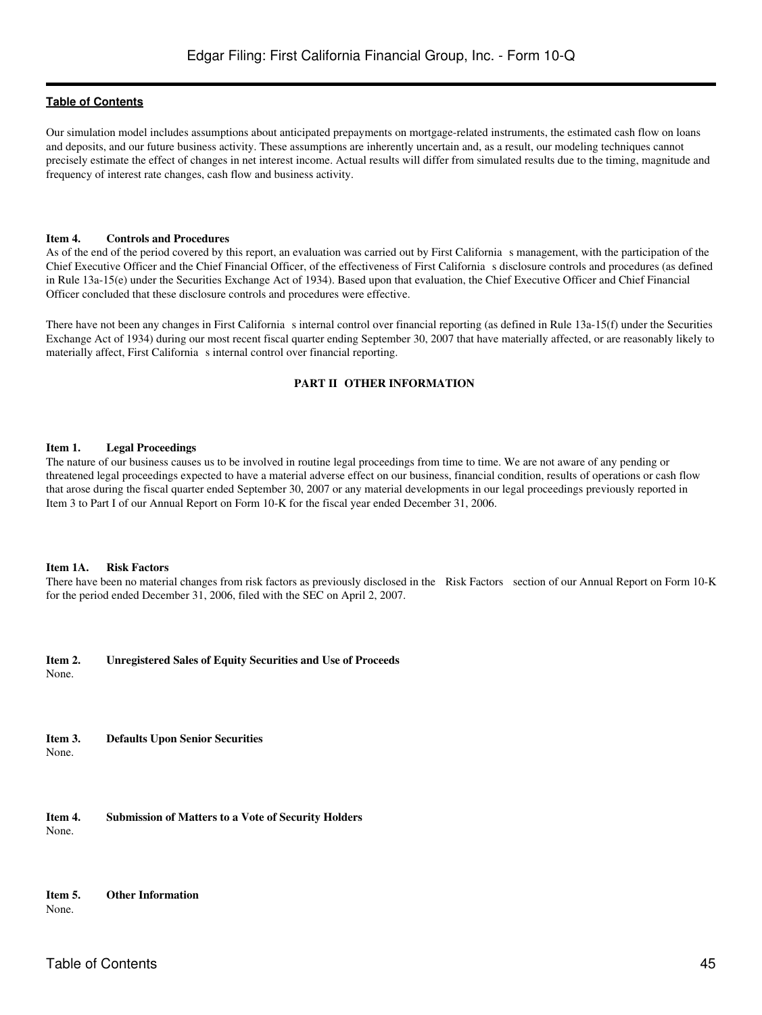Our simulation model includes assumptions about anticipated prepayments on mortgage-related instruments, the estimated cash flow on loans and deposits, and our future business activity. These assumptions are inherently uncertain and, as a result, our modeling techniques cannot precisely estimate the effect of changes in net interest income. Actual results will differ from simulated results due to the timing, magnitude and frequency of interest rate changes, cash flow and business activity.

#### <span id="page-44-0"></span>**Item 4. Controls and Procedures**

As of the end of the period covered by this report, an evaluation was carried out by First California s management, with the participation of the Chief Executive Officer and the Chief Financial Officer, of the effectiveness of First Californias disclosure controls and procedures (as defined in Rule 13a-15(e) under the Securities Exchange Act of 1934). Based upon that evaluation, the Chief Executive Officer and Chief Financial Officer concluded that these disclosure controls and procedures were effective.

<span id="page-44-1"></span>There have not been any changes in First California s internal control over financial reporting (as defined in Rule  $13a-15(f)$  under the Securities Exchange Act of 1934) during our most recent fiscal quarter ending September 30, 2007 that have materially affected, or are reasonably likely to materially affect, First California s internal control over financial reporting.

#### **PART II OTHER INFORMATION**

#### <span id="page-44-2"></span>**Item 1. Legal Proceedings**

The nature of our business causes us to be involved in routine legal proceedings from time to time. We are not aware of any pending or threatened legal proceedings expected to have a material adverse effect on our business, financial condition, results of operations or cash flow that arose during the fiscal quarter ended September 30, 2007 or any material developments in our legal proceedings previously reported in Item 3 to Part I of our Annual Report on Form 10-K for the fiscal year ended December 31, 2006.

#### <span id="page-44-3"></span>**Item 1A. Risk Factors**

There have been no material changes from risk factors as previously disclosed in the Risk Factors section of our Annual Report on Form 10-K for the period ended December 31, 2006, filed with the SEC on April 2, 2007.

<span id="page-44-4"></span>**Item 2. Unregistered Sales of Equity Securities and Use of Proceeds**

None.

<span id="page-44-5"></span>**Item 3. Defaults Upon Senior Securities** None.

<span id="page-44-6"></span>**Item 4. Submission of Matters to a Vote of Security Holders** None.

# <span id="page-44-7"></span>**Item 5. Other Information**

None.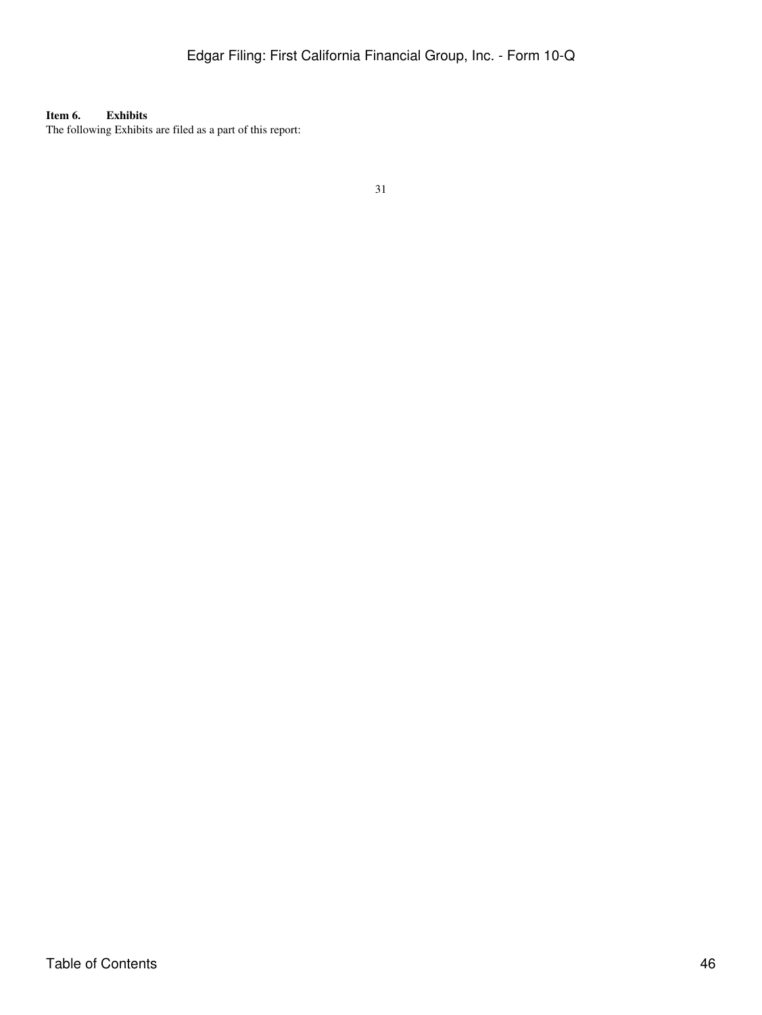<span id="page-45-0"></span>**Item 6. Exhibits** The following Exhibits are filed as a part of this report: